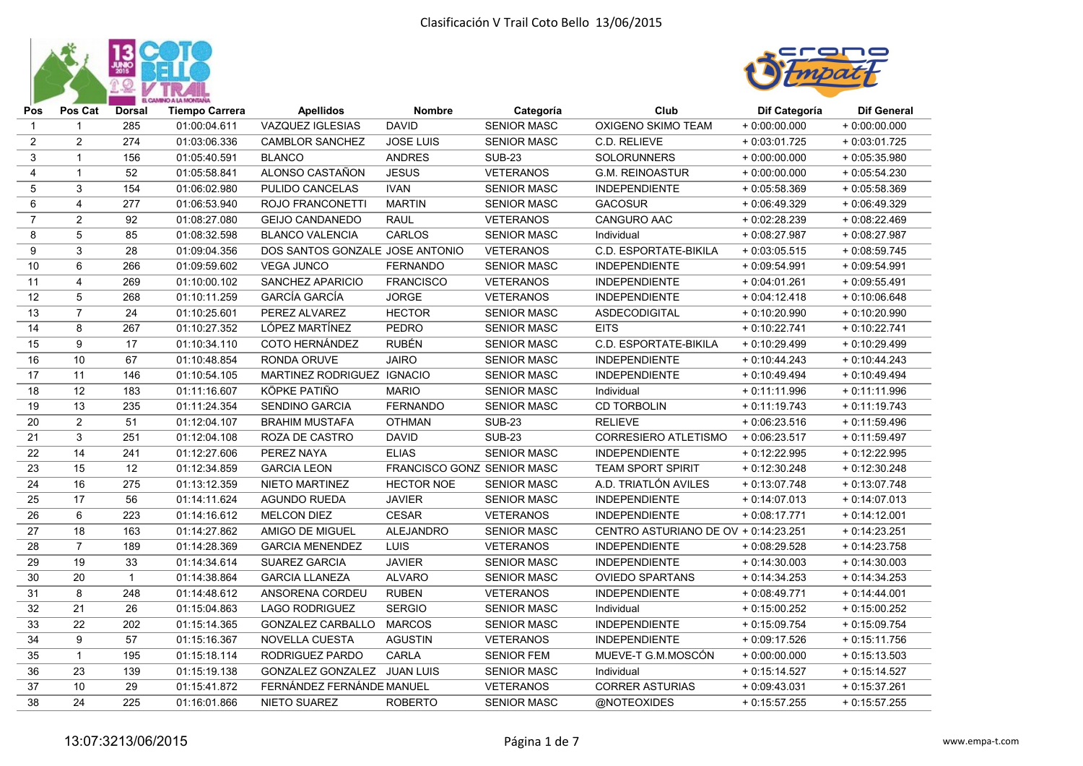



| Pos              | Pos Cat                 | <b>Dorsal</b>  | <b>Tiempo Carrera</b> | <b>Apellidos</b>                | <b>Nombre</b>              | Categoría          | Club                                 | Dif Categoría  | <b>Dif General</b> |
|------------------|-------------------------|----------------|-----------------------|---------------------------------|----------------------------|--------------------|--------------------------------------|----------------|--------------------|
| 1                | $\mathbf{1}$            | 285            | 01:00:04.611          | VAZQUEZ IGLESIAS                | <b>DAVID</b>               | <b>SENIOR MASC</b> | OXIGENO SKIMO TEAM                   | $+0:00:00.000$ | $+0:00:00.000$     |
| $\boldsymbol{2}$ | $\overline{c}$          | 274            | 01:03:06.336          | <b>CAMBLOR SANCHEZ</b>          | <b>JOSE LUIS</b>           | <b>SENIOR MASC</b> | C.D. RELIEVE                         | $+0:03:01.725$ | $+0.03:01.725$     |
| 3                | $\mathbf{1}$            | 156            | 01:05:40.591          | <b>BLANCO</b>                   | <b>ANDRES</b>              | <b>SUB-23</b>      | SOLORUNNERS                          | $+0:00:00.000$ | $+0.05:35.980$     |
| $\overline{4}$   | $\mathbf{1}$            | 52             | 01:05:58.841          | ALONSO CASTAÑON                 | <b>JESUS</b>               | <b>VETERANOS</b>   | <b>G.M. REINOASTUR</b>               | $+0:00:00.000$ | $+0.05:54.230$     |
| 5                | 3                       | 154            | 01:06:02.980          | PULIDO CANCELAS                 | <b>IVAN</b>                | <b>SENIOR MASC</b> | <b>INDEPENDIENTE</b>                 | $+0.05:58.369$ | $+0.05:58.369$     |
| 6                | 4                       | 277            | 01:06:53.940          | ROJO FRANCONETTI                | <b>MARTIN</b>              | <b>SENIOR MASC</b> | <b>GACOSUR</b>                       | $+0.06:49.329$ | $+0.06:49.329$     |
| $\overline{7}$   | $\overline{c}$          | 92             | 01:08:27.080          | <b>GEIJO CANDANEDO</b>          | <b>RAUL</b>                | <b>VETERANOS</b>   | CANGURO AAC                          | $+0.02:28.239$ | $+0.08:22.469$     |
| 8                | $\sqrt{5}$              | 85             | 01:08:32.598          | <b>BLANCO VALENCIA</b>          | CARLOS                     | <b>SENIOR MASC</b> | Individual                           | $+0:08:27.987$ | $+0.08:27.987$     |
| 9                | $\mathbf{3}$            | 28             | 01:09:04.356          | DOS SANTOS GONZALE JOSE ANTONIO |                            | <b>VETERANOS</b>   | C.D. ESPORTATE-BIKILA                | $+0.03:05.515$ | $+0.08:59.745$     |
| 10               | 6                       | 266            | 01:09:59.602          | <b>VEGA JUNCO</b>               | <b>FERNANDO</b>            | <b>SENIOR MASC</b> | <b>INDEPENDIENTE</b>                 | $+0.09:54.991$ | $+0.09:54.991$     |
| 11               | $\overline{\mathbf{4}}$ | 269            | 01:10:00.102          | SANCHEZ APARICIO                | <b>FRANCISCO</b>           | <b>VETERANOS</b>   | <b>INDEPENDIENTE</b>                 | $+0.04:01.261$ | $+0.09:55.491$     |
| 12               | 5                       | 268            | 01:10:11.259          | <b>GARCÍA GARCÍA</b>            | <b>JORGE</b>               | <b>VETERANOS</b>   | <b>INDEPENDIENTE</b>                 | $+0:04:12.418$ | $+0:10:06.648$     |
| 13               | $\overline{7}$          | 24             | 01:10:25.601          | PEREZ ALVAREZ                   | <b>HECTOR</b>              | <b>SENIOR MASC</b> | <b>ASDECODIGITAL</b>                 | $+0:10:20.990$ | $+0:10:20.990$     |
| 14               | 8                       | 267            | 01:10:27.352          | LÓPEZ MARTÍNEZ                  | <b>PEDRO</b>               | <b>SENIOR MASC</b> | <b>EITS</b>                          | $+0:10:22.741$ | $+0:10:22.741$     |
| 15               | 9                       | 17             | 01:10:34.110          | COTO HERNÁNDEZ                  | <b>RUBÉN</b>               | <b>SENIOR MASC</b> | C.D. ESPORTATE-BIKILA                | $+0:10:29.499$ | $+0:10:29.499$     |
| 16               | 10                      | 67             | 01:10:48.854          | RONDA ORUVE                     | <b>JAIRO</b>               | <b>SENIOR MASC</b> | <b>INDEPENDIENTE</b>                 | $+0:10:44.243$ | $+0:10:44.243$     |
| 17               | 11                      | 146            | 01:10:54.105          | MARTINEZ RODRIGUEZ IGNACIO      |                            | <b>SENIOR MASC</b> | <b>INDEPENDIENTE</b>                 | $+0:10:49.494$ | $+0:10:49.494$     |
| 18               | 12                      | 183            | 01:11:16.607          | KÖPKE PATIÑO                    | <b>MARIO</b>               | <b>SENIOR MASC</b> | Individual                           | $+0:11:11.996$ | $+0:11:11.996$     |
| 19               | 13                      | 235            | 01:11:24.354          | <b>SENDINO GARCIA</b>           | <b>FERNANDO</b>            | <b>SENIOR MASC</b> | <b>CD TORBOLIN</b>                   | $+0:11:19.743$ | $+0:11:19.743$     |
| 20               | $\overline{c}$          | 51             | 01:12:04.107          | <b>BRAHIM MUSTAFA</b>           | <b>OTHMAN</b>              | <b>SUB-23</b>      | <b>RELIEVE</b>                       | $+0.06:23.516$ | $+0:11:59.496$     |
| 21               | 3                       | 251            | 01:12:04.108          | ROZA DE CASTRO                  | <b>DAVID</b>               | <b>SUB-23</b>      | CORRESIERO ATLETISMO                 | $+0.06:23.517$ | $+0:11:59.497$     |
| 22               | 14                      | 241            | 01:12:27.606          | PEREZ NAYA                      | <b>ELIAS</b>               | <b>SENIOR MASC</b> | <b>INDEPENDIENTE</b>                 | $+0:12:22.995$ | $+0:12:22.995$     |
| 23               | 15                      | 12             | 01:12:34.859          | <b>GARCIA LEON</b>              | FRANCISCO GONZ SENIOR MASC |                    | <b>TEAM SPORT SPIRIT</b>             | $+0:12:30.248$ | $+0:12:30.248$     |
| 24               | 16                      | 275            | 01:13:12.359          | <b>NIETO MARTINEZ</b>           | <b>HECTOR NOE</b>          | <b>SENIOR MASC</b> | A.D. TRIATLÓN AVILES                 | $+0:13:07.748$ | $+0:13:07.748$     |
| 25               | 17                      | 56             | 01:14:11.624          | <b>AGUNDO RUEDA</b>             | <b>JAVIER</b>              | <b>SENIOR MASC</b> | <b>INDEPENDIENTE</b>                 | $+0:14:07.013$ | $+0:14:07.013$     |
| 26               | 6                       | 223            | 01:14:16.612          | <b>MELCON DIEZ</b>              | <b>CESAR</b>               | <b>VETERANOS</b>   | <b>INDEPENDIENTE</b>                 | $+0:08:17.771$ | $+0:14:12.001$     |
| 27               | 18                      | 163            | 01:14:27.862          | AMIGO DE MIGUEL                 | ALEJANDRO                  | SENIOR MASC        | CENTRO ASTURIANO DE OV + 0:14:23.251 |                | $+0:14:23.251$     |
| 28               | $\overline{7}$          | 189            | 01:14:28.369          | <b>GARCIA MENENDEZ</b>          | LUIS                       | <b>VETERANOS</b>   | <b>INDEPENDIENTE</b>                 | $+0.08:29.528$ | $+0:14:23.758$     |
| 29               | 19                      | 33             | 01:14:34.614          | <b>SUAREZ GARCIA</b>            | <b>JAVIER</b>              | <b>SENIOR MASC</b> | <b>INDEPENDIENTE</b>                 | $+0:14:30.003$ | $+0:14:30.003$     |
| 30               | 20                      | $\overline{1}$ | 01:14:38.864          | <b>GARCIA LLANEZA</b>           | <b>ALVARO</b>              | <b>SENIOR MASC</b> | <b>OVIEDO SPARTANS</b>               | $+0:14:34.253$ | $+0:14:34.253$     |
| 31               | 8                       | 248            | 01:14:48.612          | ANSORENA CORDEU                 | <b>RUBEN</b>               | <b>VETERANOS</b>   | <b>INDEPENDIENTE</b>                 | $+0.08:49.771$ | $+0:14:44.001$     |
| 32               | 21                      | 26             | 01:15:04.863          | <b>LAGO RODRIGUEZ</b>           | <b>SERGIO</b>              | <b>SENIOR MASC</b> | Individual                           | $+0:15:00.252$ | $+0:15:00.252$     |
| 33               | 22                      | 202            | 01:15:14.365          | GONZALEZ CARBALLO               | <b>MARCOS</b>              | <b>SENIOR MASC</b> | <b>INDEPENDIENTE</b>                 | $+0:15:09.754$ | $+0:15:09.754$     |
| 34               | 9                       | 57             | 01:15:16.367          | NOVELLA CUESTA                  | <b>AGUSTIN</b>             | <b>VETERANOS</b>   | <b>INDEPENDIENTE</b>                 | $+0.09:17.526$ | $+0:15:11.756$     |
| 35               | $\mathbf{1}$            | 195            | 01:15:18.114          | RODRIGUEZ PARDO                 | <b>CARLA</b>               | <b>SENIOR FEM</b>  | MUEVE-T G.M.MOSCÓN                   | $+0:00:00.000$ | $+0:15:13.503$     |
| 36               | 23                      | 139            | 01:15:19.138          | GONZALEZ GONZALEZ JUAN LUIS     |                            | <b>SENIOR MASC</b> | Individual                           | $+0:15:14.527$ | $+0:15:14.527$     |
| 37               | 10                      | 29             | 01:15:41.872          | FERNÁNDEZ FERNÁNDE MANUEL       |                            | <b>VETERANOS</b>   | <b>CORRER ASTURIAS</b>               | $+0.09:43.031$ | $+0:15:37.261$     |
| 38               | 24                      | 225            | 01:16:01.866          | <b>NIETO SUAREZ</b>             | <b>ROBERTO</b>             | <b>SENIOR MASC</b> | @NOTEOXIDES                          | $+0:15:57.255$ | $+0:15:57.255$     |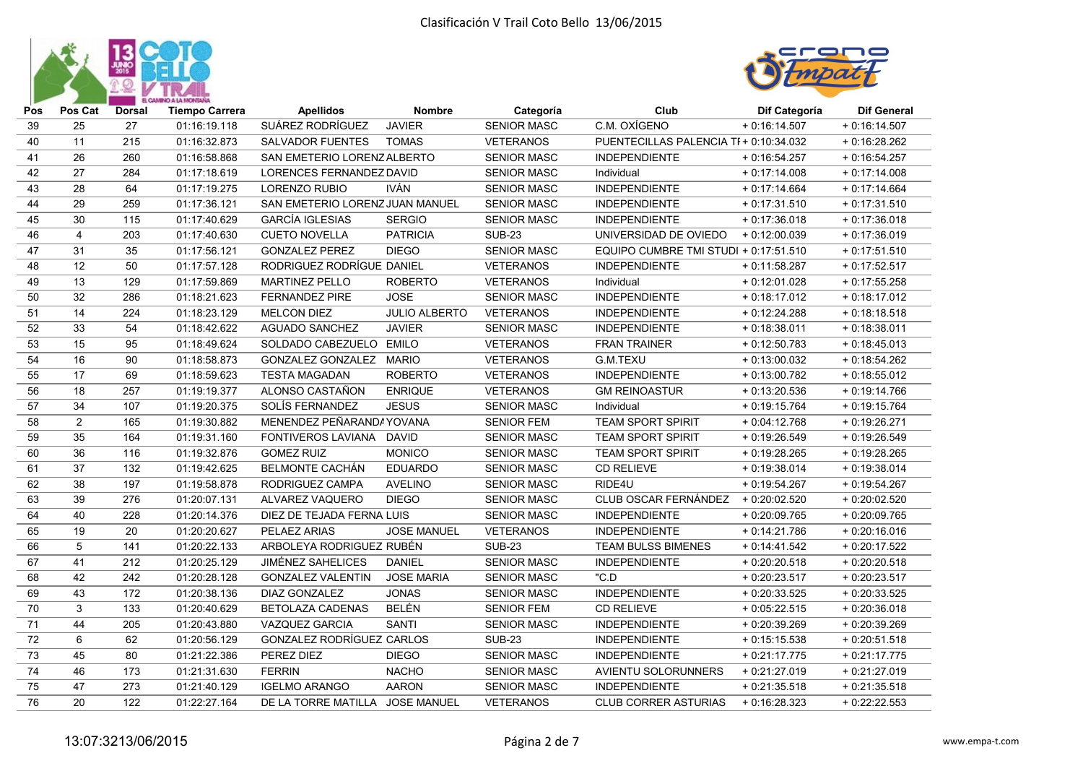



| Pos | Pos Cat        | <b>Dorsal</b> | <b>Tiempo Carrera</b> | <b>Apellidos</b>                | <b>Nombre</b>        | Categoría          | Club                                  | Dif Categoría  | <b>Dif General</b> |
|-----|----------------|---------------|-----------------------|---------------------------------|----------------------|--------------------|---------------------------------------|----------------|--------------------|
| 39  | 25             | 27            | 01:16:19.118          | SUÁREZ RODRÍGUEZ                | <b>JAVIER</b>        | <b>SENIOR MASC</b> | C.M. OXÍGENO                          | $+0:16:14.507$ | $+0:16:14.507$     |
| 40  | 11             | 215           | 01:16:32.873          | <b>SALVADOR FUENTES</b>         | <b>TOMAS</b>         | <b>VETERANOS</b>   | PUENTECILLAS PALENCIA TF+ 0:10:34.032 |                | $+0.16:28.262$     |
| 41  | 26             | 260           | 01:16:58.868          | SAN EMETERIO LORENZ ALBERTO     |                      | <b>SENIOR MASC</b> | <b>INDEPENDIENTE</b>                  | $+0:16:54.257$ | $+0:16:54.257$     |
| 42  | 27             | 284           | 01:17:18.619          | LORENCES FERNANDEZ DAVID        |                      | <b>SENIOR MASC</b> | Individual                            | $+0:17:14.008$ | $+0:17:14.008$     |
| 43  | 28             | 64            | 01:17:19.275          | <b>LORENZO RUBIO</b>            | IVÁN                 | <b>SENIOR MASC</b> | <b>INDEPENDIENTE</b>                  | $+0:17:14.664$ | $+0:17:14.664$     |
| 44  | 29             | 259           | 01:17:36.121          | SAN EMETERIO LORENZ JUAN MANUEL |                      | <b>SENIOR MASC</b> | <b>INDEPENDIENTE</b>                  | $+0:17:31.510$ | $+0:17:31.510$     |
| 45  | 30             | 115           | 01:17:40.629          | <b>GARCÍA IGLESIAS</b>          | <b>SERGIO</b>        | <b>SENIOR MASC</b> | <b>INDEPENDIENTE</b>                  | $+0:17:36.018$ | $+0:17:36.018$     |
| 46  | 4              | 203           | 01:17:40.630          | <b>CUETO NOVELLA</b>            | <b>PATRICIA</b>      | <b>SUB-23</b>      | UNIVERSIDAD DE OVIEDO                 | $+0:12:00.039$ | $+0:17:36.019$     |
| 47  | 31             | 35            | 01:17:56.121          | <b>GONZALEZ PEREZ</b>           | <b>DIEGO</b>         | <b>SENIOR MASC</b> | EQUIPO CUMBRE TMI STUDI + 0:17:51.510 |                | $+0:17:51.510$     |
| 48  | 12             | 50            | 01:17:57.128          | RODRIGUEZ RODRÍGUE DANIEL       |                      | <b>VETERANOS</b>   | <b>INDEPENDIENTE</b>                  | $+0:11:58.287$ | $+0:17:52.517$     |
| 49  | 13             | 129           | 01:17:59.869          | MARTINEZ PELLO                  | <b>ROBERTO</b>       | <b>VETERANOS</b>   | Individual                            | $+0:12:01.028$ | $+0:17:55.258$     |
| 50  | 32             | 286           | 01:18:21.623          | <b>FERNANDEZ PIRE</b>           | <b>JOSE</b>          | <b>SENIOR MASC</b> | <b>INDEPENDIENTE</b>                  | $+0:18:17.012$ | $+0:18:17.012$     |
| 51  | 14             | 224           | 01:18:23.129          | <b>MELCON DIEZ</b>              | <b>JULIO ALBERTO</b> | <b>VETERANOS</b>   | <b>INDEPENDIENTE</b>                  | $+0:12:24.288$ | $+0.18:18.518$     |
| 52  | 33             | 54            | 01:18:42.622          | <b>AGUADO SANCHEZ</b>           | <b>JAVIER</b>        | <b>SENIOR MASC</b> | <b>INDEPENDIENTE</b>                  | $+0:18:38.011$ | $+0:18:38.011$     |
| 53  | 15             | 95            | 01:18:49.624          | SOLDADO CABEZUELO EMILO         |                      | <b>VETERANOS</b>   | <b>FRAN TRAINER</b>                   | $+0:12:50.783$ | $+0:18:45.013$     |
| 54  | 16             | 90            | 01:18:58.873          | GONZALEZ GONZALEZ MARIO         |                      | <b>VETERANOS</b>   | G.M.TEXU                              | $+0:13:00.032$ | $+0:18:54.262$     |
| 55  | 17             | 69            | 01:18:59.623          | <b>TESTA MAGADAN</b>            | <b>ROBERTO</b>       | <b>VETERANOS</b>   | <b>INDEPENDIENTE</b>                  | $+0:13:00.782$ | $+0:18:55.012$     |
| 56  | 18             | 257           | 01:19:19.377          | ALONSO CASTAÑON                 | <b>ENRIQUE</b>       | <b>VETERANOS</b>   | <b>GM REINOASTUR</b>                  | $+0:13:20.536$ | $+0:19:14.766$     |
| 57  | 34             | 107           | 01:19:20.375          | SOLÍS FERNANDEZ                 | <b>JESUS</b>         | <b>SENIOR MASC</b> | Individual                            | $+0:19:15.764$ | $+0:19:15.764$     |
| 58  | $\overline{2}$ | 165           | 01:19:30.882          | MENENDEZ PEÑARANDA YOVANA       |                      | <b>SENIOR FEM</b>  | <b>TEAM SPORT SPIRIT</b>              | $+0:04:12.768$ | $+0.19:26.271$     |
| 59  | 35             | 164           | 01:19:31.160          | FONTIVEROS LAVIANA DAVID        |                      | <b>SENIOR MASC</b> | <b>TEAM SPORT SPIRIT</b>              | $+0:19:26.549$ | $+0.19:26.549$     |
| 60  | 36             | 116           | 01:19:32.876          | <b>GOMEZ RUIZ</b>               | <b>MONICO</b>        | <b>SENIOR MASC</b> | <b>TEAM SPORT SPIRIT</b>              | $+0:19:28.265$ | $+0.19:28.265$     |
| 61  | 37             | 132           | 01:19:42.625          | <b>BELMONTE CACHÁN</b>          | <b>EDUARDO</b>       | <b>SENIOR MASC</b> | <b>CD RELIEVE</b>                     | $+0:19:38.014$ | $+0:19:38.014$     |
| 62  | 38             | 197           | 01:19:58.878          | RODRIGUEZ CAMPA                 | <b>AVELINO</b>       | <b>SENIOR MASC</b> | RIDE4U                                | $+0:19:54.267$ | $+0:19:54.267$     |
| 63  | 39             | 276           | 01:20:07.131          | ALVAREZ VAQUERO                 | <b>DIEGO</b>         | <b>SENIOR MASC</b> | CLUB OSCAR FERNÁNDEZ + 0:20:02.520    |                | $+0.20:02.520$     |
| 64  | 40             | 228           | 01:20:14.376          | DIEZ DE TEJADA FERNA LUIS       |                      | <b>SENIOR MASC</b> | <b>INDEPENDIENTE</b>                  | $+0.20:09.765$ | $+0.20:09.765$     |
| 65  | 19             | 20            | 01:20:20.627          | PELAEZ ARIAS                    | <b>JOSE MANUEL</b>   | <b>VETERANOS</b>   | <b>INDEPENDIENTE</b>                  | $+0:14:21.786$ | $+0.20:16.016$     |
| 66  | 5              | 141           | 01:20:22.133          | ARBOLEYA RODRIGUEZ RUBÉN        |                      | <b>SUB-23</b>      | <b>TEAM BULSS BIMENES</b>             | $+0:14:41.542$ | $+0.20:17.522$     |
| 67  | 41             | 212           | 01:20:25.129          | <b>JIMÉNEZ SAHELICES</b>        | <b>DANIEL</b>        | <b>SENIOR MASC</b> | <b>INDEPENDIENTE</b>                  | $+0:20:20.518$ | $+0.20:20.518$     |
| 68  | 42             | 242           | 01:20:28.128          | <b>GONZALEZ VALENTIN</b>        | <b>JOSE MARIA</b>    | <b>SENIOR MASC</b> | "C.D                                  | $+0.20:23.517$ | $+0.20:23.517$     |
| 69  | 43             | 172           | 01:20:38.136          | DIAZ GONZALEZ                   | <b>JONAS</b>         | <b>SENIOR MASC</b> | <b>INDEPENDIENTE</b>                  | $+0.20:33.525$ | $+0.20:33.525$     |
| 70  | 3              | 133           | 01:20:40.629          | <b>BETOLAZA CADENAS</b>         | <b>BELÉN</b>         | <b>SENIOR FEM</b>  | <b>CD RELIEVE</b>                     | $+0.05:22.515$ | $+0.20:36.018$     |
| 71  | 44             | 205           | 01:20:43.880          | <b>VAZQUEZ GARCIA</b>           | <b>SANTI</b>         | <b>SENIOR MASC</b> | <b>INDEPENDIENTE</b>                  | + 0:20:39.269  | $+0.20.39.269$     |
| 72  | $\,6\,$        | 62            | 01:20:56.129          | GONZALEZ RODRÍGUEZ CARLOS       |                      | <b>SUB-23</b>      | <b>INDEPENDIENTE</b>                  | $+0:15:15.538$ | $+0.20:51.518$     |
| 73  | 45             | 80            | 01:21:22.386          | PEREZ DIEZ                      | <b>DIEGO</b>         | <b>SENIOR MASC</b> | <b>INDEPENDIENTE</b>                  | $+0:21:17.775$ | $+0:21:17.775$     |
| 74  | 46             | 173           | 01:21:31.630          | <b>FERRIN</b>                   | <b>NACHO</b>         | <b>SENIOR MASC</b> | <b>AVIENTU SOLORUNNERS</b>            | $+0:21:27.019$ | $+0:21:27.019$     |
| 75  | 47             | 273           | 01:21:40.129          | <b>IGELMO ARANGO</b>            | <b>AARON</b>         | <b>SENIOR MASC</b> | <b>INDEPENDIENTE</b>                  | $+0:21:35.518$ | $+0:21:35.518$     |
| 76  | 20             | 122           | 01:22:27.164          | DE LA TORRE MATILLA JOSE MANUEL |                      | <b>VETERANOS</b>   | <b>CLUB CORRER ASTURIAS</b>           | $+0.16:28.323$ | $+0.22:22.553$     |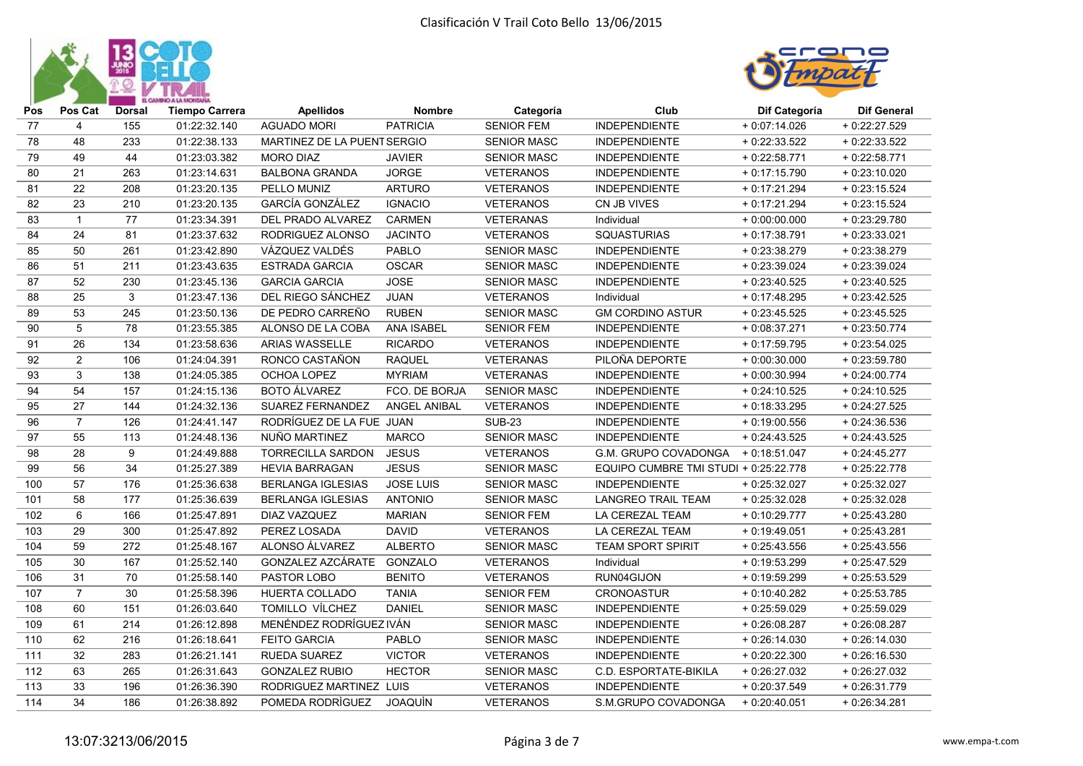



| Pos | Pos Cat        | <b>Dorsal</b> | <b>Tiempo Carrera</b> | <b>Apellidos</b>            | <b>Nombre</b>     | Categoría          | Club                                  | Dif Categoría  | <b>Dif General</b> |
|-----|----------------|---------------|-----------------------|-----------------------------|-------------------|--------------------|---------------------------------------|----------------|--------------------|
| 77  | $\overline{4}$ | 155           | 01:22:32.140          | <b>AGUADO MORI</b>          | <b>PATRICIA</b>   | <b>SENIOR FEM</b>  | INDEPENDIENTE                         | $+0.07:14.026$ | + 0:22:27.529      |
| 78  | 48             | 233           | 01:22:38.133          | MARTINEZ DE LA PUENT SERGIO |                   | <b>SENIOR MASC</b> | <b>INDEPENDIENTE</b>                  | $+0:22:33.522$ | $+0.22:33.522$     |
| 79  | 49             | 44            | 01:23:03.382          | <b>MORO DIAZ</b>            | <b>JAVIER</b>     | <b>SENIOR MASC</b> | <b>INDEPENDIENTE</b>                  | $+0:22:58.771$ | $+0.22:58.771$     |
| 80  | 21             | 263           | 01:23:14.631          | <b>BALBONA GRANDA</b>       | <b>JORGE</b>      | <b>VETERANOS</b>   | <b>INDEPENDIENTE</b>                  | $+0.17:15.790$ | $+0.23:10.020$     |
| 81  | 22             | 208           | 01:23:20.135          | PELLO MUNIZ                 | <b>ARTURO</b>     | <b>VETERANOS</b>   | <b>INDEPENDIENTE</b>                  | $+0:17:21.294$ | $+0.23:15.524$     |
| 82  | 23             | 210           | 01:23:20.135          | <b>GARCÍA GONZÁLEZ</b>      | <b>IGNACIO</b>    | <b>VETERANOS</b>   | CN JB VIVES                           | $+0:17:21.294$ | $+0.23:15.524$     |
| 83  | $\mathbf{1}$   | 77            | 01:23:34.391          | DEL PRADO ALVAREZ           | <b>CARMEN</b>     | <b>VETERANAS</b>   | Individual                            | $+0:00:00.000$ | $+0.23:29.780$     |
| 84  | 24             | 81            | 01:23:37.632          | RODRIGUEZ ALONSO            | <b>JACINTO</b>    | <b>VETERANOS</b>   | SQUASTURIAS                           | $+0.17.38.791$ | $+0.23:33.021$     |
| 85  | 50             | 261           | 01:23:42.890          | VÁZQUEZ VALDÉS              | PABLO             | <b>SENIOR MASC</b> | <b>INDEPENDIENTE</b>                  | $+0.23.38.279$ | $+0.23.38.279$     |
| 86  | 51             | 211           | 01:23:43.635          | <b>ESTRADA GARCIA</b>       | <b>OSCAR</b>      | <b>SENIOR MASC</b> | <b>INDEPENDIENTE</b>                  | $+0.23.39.024$ | $+0.23:39.024$     |
| 87  | 52             | 230           | 01:23:45.136          | <b>GARCIA GARCIA</b>        | <b>JOSE</b>       | <b>SENIOR MASC</b> | <b>INDEPENDIENTE</b>                  | $+0.23:40.525$ | $+0.23:40.525$     |
| 88  | 25             | 3             | 01:23:47.136          | DEL RIEGO SÁNCHEZ           | <b>JUAN</b>       | <b>VETERANOS</b>   | Individual                            | $+0:17:48.295$ | $+0.23:42.525$     |
| 89  | 53             | 245           | 01:23:50.136          | DE PEDRO CARREÑO            | <b>RUBEN</b>      | <b>SENIOR MASC</b> | <b>GM CORDINO ASTUR</b>               | $+0.23:45.525$ | $+0.23:45.525$     |
| 90  | 5              | 78            | 01:23:55.385          | ALONSO DE LA COBA           | <b>ANA ISABEL</b> | <b>SENIOR FEM</b>  | <b>INDEPENDIENTE</b>                  | $+0.08:37.271$ | $+0.23:50.774$     |
| 91  | 26             | 134           | 01:23:58.636          | <b>ARIAS WASSELLE</b>       | <b>RICARDO</b>    | <b>VETERANOS</b>   | <b>INDEPENDIENTE</b>                  | $+0:17:59.795$ | $+0.23:54.025$     |
| 92  | 2              | 106           | 01:24:04.391          | RONCO CASTAÑON              | <b>RAQUEL</b>     | <b>VETERANAS</b>   | PILOÑA DEPORTE                        | $+0.00:30.000$ | $+0.23:59.780$     |
| 93  | 3              | 138           | 01:24:05.385          | OCHOA LOPEZ                 | <b>MYRIAM</b>     | <b>VETERANAS</b>   | <b>INDEPENDIENTE</b>                  | $+0:00:30.994$ | $+0:24:00.774$     |
| 94  | 54             | 157           | 01:24:15.136          | <b>BOTO ÁLVAREZ</b>         | FCO. DE BORJA     | <b>SENIOR MASC</b> | <b>INDEPENDIENTE</b>                  | $+0:24:10.525$ | $+0.24:10.525$     |
| 95  | 27             | 144           | 01:24:32.136          | <b>SUAREZ FERNANDEZ</b>     | ANGEL ANIBAL      | <b>VETERANOS</b>   | <b>INDEPENDIENTE</b>                  | $+0:18:33.295$ | $+0.24:27.525$     |
| 96  | $\overline{7}$ | 126           | 01:24:41.147          | RODRÍGUEZ DE LA FUE JUAN    |                   | <b>SUB-23</b>      | <b>INDEPENDIENTE</b>                  | $+0:19:00.556$ | $+0.24.36.536$     |
| 97  | 55             | 113           | 01:24:48.136          | NUÑO MARTINEZ               | <b>MARCO</b>      | <b>SENIOR MASC</b> | <b>INDEPENDIENTE</b>                  | $+0:24:43.525$ | $+0.24:43.525$     |
| 98  | 28             | 9             | 01:24:49.888          | <b>TORRECILLA SARDON</b>    | <b>JESUS</b>      | <b>VETERANOS</b>   | G.M. GRUPO COVADONGA + 0:18:51.047    |                | $+0.24:45.277$     |
| 99  | 56             | 34            | 01:25:27.389          | <b>HEVIA BARRAGAN</b>       | <b>JESUS</b>      | <b>SENIOR MASC</b> | EQUIPO CUMBRE TMI STUDI + 0:25:22.778 |                | $+0.25:22.778$     |
| 100 | 57             | 176           | 01:25:36.638          | <b>BERLANGA IGLESIAS</b>    | <b>JOSE LUIS</b>  | <b>SENIOR MASC</b> | <b>INDEPENDIENTE</b>                  | $+0.25:32.027$ | $+0.25:32.027$     |
| 101 | 58             | 177           | 01:25:36.639          | <b>BERLANGA IGLESIAS</b>    | <b>ANTONIO</b>    | <b>SENIOR MASC</b> | <b>LANGREO TRAIL TEAM</b>             | $+0.25:32.028$ | $+0.25:32.028$     |
| 102 | 6              | 166           | 01:25:47.891          | DIAZ VAZQUEZ                | <b>MARIAN</b>     | <b>SENIOR FEM</b>  | LA CEREZAL TEAM                       | $+0:10:29.777$ | $+0.25:43.280$     |
| 103 | 29             | 300           | 01:25:47.892          | PEREZ LOSADA                | <b>DAVID</b>      | <b>VETERANOS</b>   | LA CEREZAL TEAM                       | $+0:19:49.051$ | $+0.25:43.281$     |
| 104 | 59             | 272           | 01:25:48.167          | ALONSO ÁLVAREZ              | <b>ALBERTO</b>    | <b>SENIOR MASC</b> | <b>TEAM SPORT SPIRIT</b>              | $+0.25:43.556$ | $+0.25:43.556$     |
| 105 | 30             | 167           | 01:25:52.140          | GONZALEZ AZCÁRATE           | GONZALO           | <b>VETERANOS</b>   | Individual                            | $+0.19.53.299$ | $+0.25:47.529$     |
| 106 | 31             | 70            | 01:25:58.140          | PASTOR LOBO                 | <b>BENITO</b>     | <b>VETERANOS</b>   | RUN04GIJON                            | $+0:19:59.299$ | $+0.25:53.529$     |
| 107 | $\overline{7}$ | 30            | 01:25:58.396          | HUERTA COLLADO              | <b>TANIA</b>      | <b>SENIOR FEM</b>  | CRONOASTUR                            | $+0:10:40.282$ | $+0.25:53.785$     |
| 108 | 60             | 151           | 01:26:03.640          | TOMILLO VILCHEZ             | <b>DANIEL</b>     | <b>SENIOR MASC</b> | <b>INDEPENDIENTE</b>                  | $+0.25:59.029$ | $+0.25:59.029$     |
| 109 | 61             | 214           | 01:26:12.898          | MENÉNDEZ RODRÍGUEZ IVÁN     |                   | <b>SENIOR MASC</b> | <b>INDEPENDIENTE</b>                  | $+0.26:08.287$ | $+0.26:08.287$     |
| 110 | 62             | 216           | 01:26:18.641          | <b>FEITO GARCIA</b>         | <b>PABLO</b>      | <b>SENIOR MASC</b> | <b>INDEPENDIENTE</b>                  | $+0.26:14.030$ | $+0.26:14.030$     |
| 111 | 32             | 283           | 01:26:21.141          | <b>RUEDA SUAREZ</b>         | <b>VICTOR</b>     | <b>VETERANOS</b>   | <b>INDEPENDIENTE</b>                  | $+0.20:22.300$ | $+0.26:16.530$     |
| 112 | 63             | 265           | 01:26:31.643          | <b>GONZALEZ RUBIO</b>       | <b>HECTOR</b>     | <b>SENIOR MASC</b> | <b>C.D. ESPORTATE-BIKILA</b>          | $+0.26:27.032$ | $+0.26:27.032$     |
| 113 | 33             | 196           | 01:26:36.390          | RODRIGUEZ MARTINEZ LUIS     |                   | <b>VETERANOS</b>   | <b>INDEPENDIENTE</b>                  | $+0.20:37.549$ | $+0.26:31.779$     |
| 114 | 34             | 186           | 01:26:38.892          | POMEDA RODRIGUEZ            | JOAQUÌN           | <b>VETERANOS</b>   | S.M.GRUPO COVADONGA                   | $+0.20:40.051$ | $+0.26:34.281$     |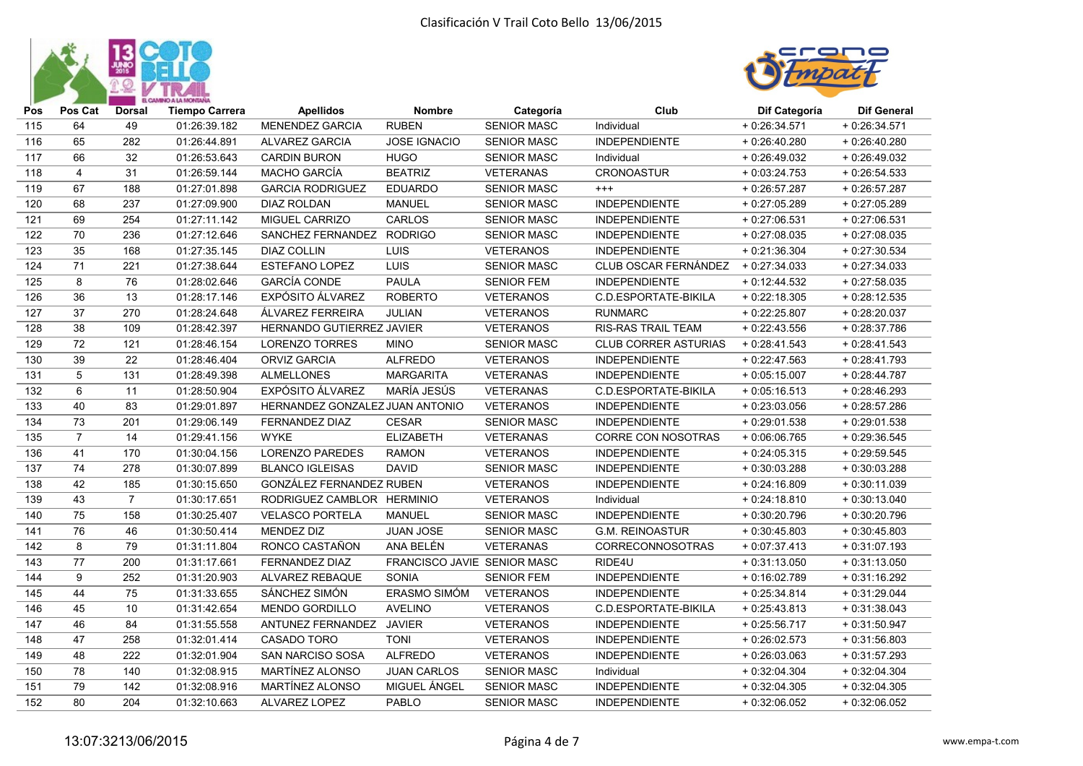



| Pos | Pos Cat        | <b>Dorsal</b>  | <b>Tiempo Carrera</b> | <b>Apellidos</b>                | <b>Nombre</b>               | Categoría          | Club                        | Dif Categoría  | <b>Dif General</b> |
|-----|----------------|----------------|-----------------------|---------------------------------|-----------------------------|--------------------|-----------------------------|----------------|--------------------|
| 115 | 64             | 49             | 01:26:39.182          | <b>MENENDEZ GARCIA</b>          | <b>RUBEN</b>                | <b>SENIOR MASC</b> | Individual                  | $+0.26:34.571$ | $+0.26:34.571$     |
| 116 | 65             | 282            | 01:26:44.891          | ALVAREZ GARCIA                  | <b>JOSE IGNACIO</b>         | <b>SENIOR MASC</b> | <b>INDEPENDIENTE</b>        | $+0.26:40.280$ | $+0.26:40.280$     |
| 117 | 66             | 32             | 01:26:53.643          | <b>CARDIN BURON</b>             | <b>HUGO</b>                 | <b>SENIOR MASC</b> | Individual                  | $+0.26:49.032$ | $+0.26:49.032$     |
| 118 | $\overline{4}$ | 31             | 01:26:59.144          | MACHO GARCÍA                    | <b>BEATRIZ</b>              | <b>VETERANAS</b>   | CRONOASTUR                  | $+0.03:24.753$ | $+0.26:54.533$     |
| 119 | 67             | 188            | 01:27:01.898          | <b>GARCIA RODRIGUEZ</b>         | <b>EDUARDO</b>              | <b>SENIOR MASC</b> | $^{+++}$                    | $+0.26:57.287$ | $+0.26:57.287$     |
| 120 | 68             | 237            | 01:27:09.900          | <b>DIAZ ROLDAN</b>              | <b>MANUEL</b>               | <b>SENIOR MASC</b> | <b>INDEPENDIENTE</b>        | + 0:27:05.289  | $+0.27:05.289$     |
| 121 | 69             | 254            | 01:27:11.142          | MIGUEL CARRIZO                  | <b>CARLOS</b>               | <b>SENIOR MASC</b> | <b>INDEPENDIENTE</b>        | $+0:27:06.531$ | $+0.27:06.531$     |
| 122 | 70             | 236            | 01:27:12.646          | SANCHEZ FERNANDEZ               | <b>RODRIGO</b>              | <b>SENIOR MASC</b> | <b>INDEPENDIENTE</b>        | $+0.27:08.035$ | $+0.27:08.035$     |
| 123 | 35             | 168            | 01:27:35.145          | <b>DIAZ COLLIN</b>              | LUIS                        | <b>VETERANOS</b>   | <b>INDEPENDIENTE</b>        | $+0:21:36.304$ | $+0.27:30.534$     |
| 124 | 71             | 221            | 01:27:38.644          | <b>ESTEFANO LOPEZ</b>           | LUIS                        | <b>SENIOR MASC</b> | CLUB OSCAR FERNÁNDEZ        | $+0:27:34.033$ | $+0.27:34.033$     |
| 125 | 8              | 76             | 01:28:02.646          | <b>GARCÍA CONDE</b>             | <b>PAULA</b>                | <b>SENIOR FEM</b>  | <b>INDEPENDIENTE</b>        | $+0:12:44.532$ | $+0.27:58.035$     |
| 126 | 36             | 13             | 01:28:17.146          | <b>EXPÓSITO ÁLVAREZ</b>         | <b>ROBERTO</b>              | <b>VETERANOS</b>   | C.D.ESPORTATE-BIKILA        | $+0.22:18.305$ | $+0.28:12.535$     |
| 127 | 37             | 270            | 01:28:24.648          | ÁLVAREZ FERREIRA                | JULIAN                      | <b>VETERANOS</b>   | <b>RUNMARC</b>              | $+0.22:25.807$ | $+0.28:20.037$     |
| 128 | 38             | 109            | 01:28:42.397          | HERNANDO GUTIERREZ JAVIER       |                             | <b>VETERANOS</b>   | <b>RIS-RAS TRAIL TEAM</b>   | $+0.22:43.556$ | $+0.28:37.786$     |
| 129 | 72             | 121            | 01:28:46.154          | <b>LORENZO TORRES</b>           | <b>MINO</b>                 | <b>SENIOR MASC</b> | <b>CLUB CORRER ASTURIAS</b> | $+0:28:41.543$ | $+0.28:41.543$     |
| 130 | 39             | 22             | 01:28:46.404          | <b>ORVIZ GARCIA</b>             | <b>ALFREDO</b>              | <b>VETERANOS</b>   | <b>INDEPENDIENTE</b>        | $+0.22:47.563$ | $+0.28:41.793$     |
| 131 | 5              | 131            | 01:28:49.398          | <b>ALMELLONES</b>               | <b>MARGARITA</b>            | <b>VETERANAS</b>   | <b>INDEPENDIENTE</b>        | $+0:05:15.007$ | $+0.28:44.787$     |
| 132 | 6              | 11             | 01:28:50.904          | EXPÓSITO ÁLVAREZ                | MARÍA JESÚS                 | <b>VETERANAS</b>   | C.D.ESPORTATE-BIKILA        | $+0.05:16.513$ | $+0.28:46.293$     |
| 133 | 40             | 83             | 01:29:01.897          | HERNANDEZ GONZALEZ JUAN ANTONIO |                             | <b>VETERANOS</b>   | <b>INDEPENDIENTE</b>        | $+0.23:03.056$ | $+0.28:57.286$     |
| 134 | 73             | 201            | 01:29:06.149          | <b>FERNANDEZ DIAZ</b>           | <b>CESAR</b>                | <b>SENIOR MASC</b> | <b>INDEPENDIENTE</b>        | $+0.29:01.538$ | $+0.29:01.538$     |
| 135 | $\overline{7}$ | 14             | 01:29:41.156          | <b>WYKE</b>                     | <b>ELIZABETH</b>            | <b>VETERANAS</b>   | CORRE CON NOSOTRAS          | $+0.06:06.765$ | $+0.29:36.545$     |
| 136 | 41             | 170            | 01:30:04.156          | <b>LORENZO PAREDES</b>          | <b>RAMON</b>                | <b>VETERANOS</b>   | <b>INDEPENDIENTE</b>        | $+0.24:05.315$ | $+0.29:59.545$     |
| 137 | 74             | 278            | 01:30:07.899          | <b>BLANCO IGLEISAS</b>          | <b>DAVID</b>                | <b>SENIOR MASC</b> | <b>INDEPENDIENTE</b>        | $+0:30:03.288$ | $+0:30:03.288$     |
| 138 | 42             | 185            | 01:30:15.650          | GONZÁLEZ FERNANDEZ RUBEN        |                             | <b>VETERANOS</b>   | <b>INDEPENDIENTE</b>        | $+0:24:16.809$ | $+0.30:11.039$     |
| 139 | 43             | $\overline{7}$ | 01:30:17.651          | RODRIGUEZ CAMBLOR HERMINIO      |                             | <b>VETERANOS</b>   | Individual                  | $+0:24:18.810$ | $+0:30:13.040$     |
| 140 | 75             | 158            | 01:30:25.407          | <b>VELASCO PORTELA</b>          | <b>MANUEL</b>               | <b>SENIOR MASC</b> | <b>INDEPENDIENTE</b>        | $+0:30:20.796$ | $+0:30:20.796$     |
| 141 | 76             | 46             | 01:30:50.414          | <b>MENDEZ DIZ</b>               | JUAN JOSE                   | <b>SENIOR MASC</b> | <b>G.M. REINOASTUR</b>      | $+0.30:45.803$ | $+0:30:45.803$     |
| 142 | 8              | 79             | 01:31:11.804          | RONCO CASTAÑON                  | ANA BELÉN                   | <b>VETERANAS</b>   | <b>CORRECONNOSOTRAS</b>     | $+0:07:37.413$ | $+0:31:07.193$     |
| 143 | 77             | 200            | 01:31:17.661          | FERNANDEZ DIAZ                  | FRANCISCO JAVIE SENIOR MASC |                    | RIDE4U                      | $+0:31:13.050$ | $+0:31:13.050$     |
| 144 | 9              | 252            | 01:31:20.903          | ALVAREZ REBAQUE                 | SONIA                       | <b>SENIOR FEM</b>  | <b>INDEPENDIENTE</b>        | $+0:16:02.789$ | $+0:31:16.292$     |
| 145 | 44             | 75             | 01:31:33.655          | SÁNCHEZ SIMÓN                   | ERASMO SIMÓM                | <b>VETERANOS</b>   | <b>INDEPENDIENTE</b>        | $+0.25.34.814$ | $+0.31:29.044$     |
| 146 | 45             | 10             | 01:31:42.654          | <b>MENDO GORDILLO</b>           | <b>AVELINO</b>              | <b>VETERANOS</b>   | C.D.ESPORTATE-BIKILA        | $+0.25:43.813$ | $+0:31:38.043$     |
| 147 | 46             | 84             | 01:31:55.558          | ANTUNEZ FERNANDEZ               | <b>JAVIER</b>               | <b>VETERANOS</b>   | <b>INDEPENDIENTE</b>        | $+0.25:56.717$ | $+0.31:50.947$     |
| 148 | 47             | 258            | 01:32:01.414          | <b>CASADO TORO</b>              | <b>TONI</b>                 | <b>VETERANOS</b>   | <b>INDEPENDIENTE</b>        | $+0.26:02.573$ | $+0:31:56.803$     |
| 149 | 48             | 222            | 01:32:01.904          | SAN NARCISO SOSA                | <b>ALFREDO</b>              | <b>VETERANOS</b>   | <b>INDEPENDIENTE</b>        | $+0.26:03.063$ | $+0.31:57.293$     |
| 150 | 78             | 140            | 01:32:08.915          | MARTINEZ ALONSO                 | <b>JUAN CARLOS</b>          | <b>SENIOR MASC</b> | Individual                  | $+0:32:04.304$ | $+0.32:04.304$     |
| 151 | 79             | 142            | 01:32:08.916          | <b>MARTINEZ ALONSO</b>          | MIGUEL ÁNGEL                | <b>SENIOR MASC</b> | <b>INDEPENDIENTE</b>        | $+0:32:04.305$ | $+0.32:04.305$     |
| 152 | 80             | 204            | 01:32:10.663          | ALVAREZ LOPEZ                   | <b>PABLO</b>                | <b>SENIOR MASC</b> | <b>INDEPENDIENTE</b>        | $+0.32:06.052$ | $+0.32:06.052$     |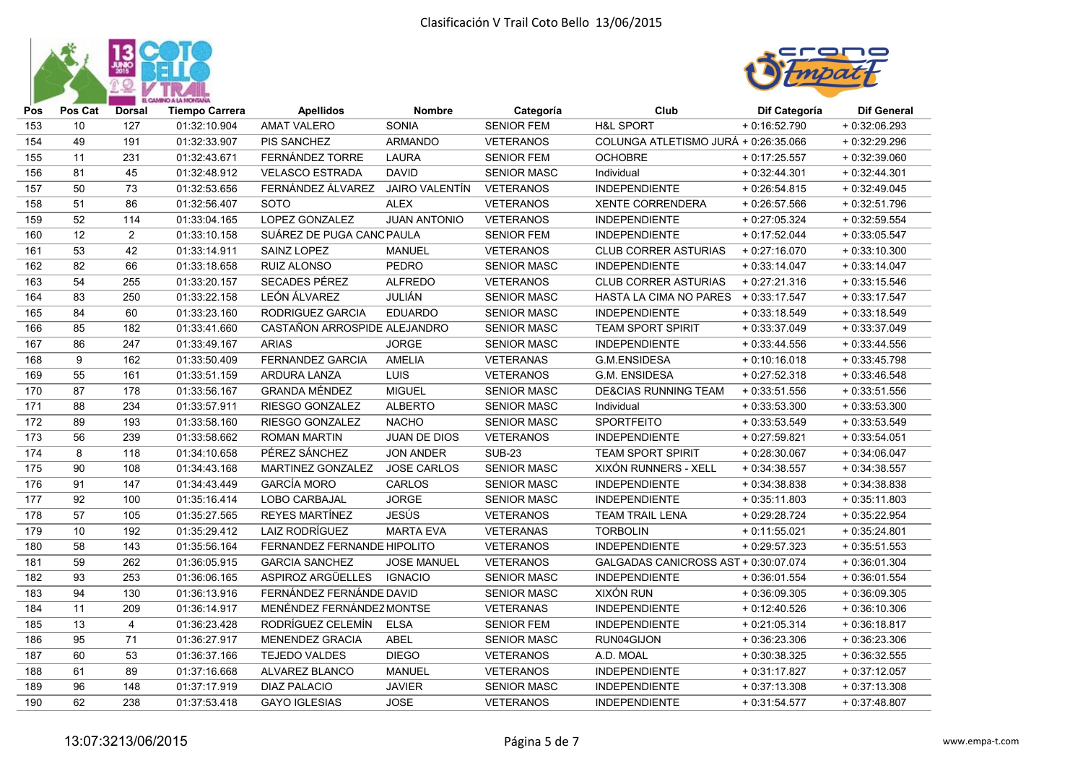



| Pos              | Pos Cat | <b>Dorsal</b>  | <b>Tiempo Carrera</b> | <b>Apellidos</b>             | <b>Nombre</b>         | Categoría          | Club                                 | Dif Categoría  | <b>Dif General</b> |
|------------------|---------|----------------|-----------------------|------------------------------|-----------------------|--------------------|--------------------------------------|----------------|--------------------|
| 153              | 10      | 127            | 01:32:10.904          | <b>AMAT VALERO</b>           | <b>SONIA</b>          | <b>SENIOR FEM</b>  | <b>H&amp;L SPORT</b>                 | $+0.16:52.790$ | $+0.32:06.293$     |
| 154              | 49      | 191            | 01:32:33.907          | PIS SANCHEZ                  | <b>ARMANDO</b>        | <b>VETERANOS</b>   | COLUNGA ATLETISMO JURÁ + 0:26:35.066 |                | $+0.32:29.296$     |
| 155              | 11      | 231            | 01:32:43.671          | FERNÁNDEZ TORRE              | <b>LAURA</b>          | <b>SENIOR FEM</b>  | <b>OCHOBRE</b>                       | $+0:17:25.557$ | $+0.32:39.060$     |
| 156              | 81      | 45             | 01:32:48.912          | <b>VELASCO ESTRADA</b>       | <b>DAVID</b>          | <b>SENIOR MASC</b> | Individual                           | $+0:32:44.301$ | $+0.32:44.301$     |
| $\overline{157}$ | 50      | 73             | 01:32:53.656          | FERNÁNDEZ ÁLVAREZ            | <b>JAIRO VALENTÍN</b> | <b>VETERANOS</b>   | <b>INDEPENDIENTE</b>                 | $+0.26:54.815$ | $+0.32:49.045$     |
| 158              | 51      | 86             | 01:32:56.407          | <b>SOTO</b>                  | <b>ALEX</b>           | <b>VETERANOS</b>   | <b>XENTE CORRENDERA</b>              | $+0.26:57.566$ | $+0.32:51.796$     |
| 159              | 52      | 114            | 01:33:04.165          | LOPEZ GONZALEZ               | <b>JUAN ANTONIO</b>   | <b>VETERANOS</b>   | <b>INDEPENDIENTE</b>                 | $+0:27:05.324$ | $+0.32:59.554$     |
| 160              | 12      | $\overline{2}$ | 01:33:10.158          | SUÁREZ DE PUGA CANC PAULA    |                       | <b>SENIOR FEM</b>  | <b>INDEPENDIENTE</b>                 | $+0:17:52.044$ | $+0.33:05.547$     |
| 161              | 53      | 42             | 01:33:14.911          | SAINZ LOPEZ                  | <b>MANUEL</b>         | <b>VETERANOS</b>   | <b>CLUB CORRER ASTURIAS</b>          | $+0:27:16.070$ | $+0.33:10.300$     |
| 162              | 82      | 66             | 01:33:18.658          | RUIZ ALONSO                  | <b>PEDRO</b>          | <b>SENIOR MASC</b> | <b>INDEPENDIENTE</b>                 | $+0:33:14.047$ | $+0:33:14.047$     |
| 163              | 54      | 255            | 01:33:20.157          | SECADES PÉREZ                | <b>ALFREDO</b>        | <b>VETERANOS</b>   | <b>CLUB CORRER ASTURIAS</b>          | $+0:27:21.316$ | $+0.33:15.546$     |
| 164              | 83      | 250            | 01:33:22.158          | LEÓN ÁLVAREZ                 | <b>JULIÁN</b>         | <b>SENIOR MASC</b> | <b>HASTA LA CIMA NO PARES</b>        | $+0.33:17.547$ | $+0.33:17.547$     |
| 165              | 84      | 60             | 01:33:23.160          | RODRIGUEZ GARCIA             | <b>EDUARDO</b>        | <b>SENIOR MASC</b> | <b>INDEPENDIENTE</b>                 | $+0:33:18.549$ | $+0:33:18.549$     |
| 166              | 85      | 182            | 01:33:41.660          | CASTAÑON ARROSPIDE ALEJANDRO |                       | <b>SENIOR MASC</b> | TEAM SPORT SPIRIT                    | $+0.33.37.049$ | $+0:33:37.049$     |
| 167              | 86      | 247            | 01:33:49.167          | <b>ARIAS</b>                 | <b>JORGE</b>          | <b>SENIOR MASC</b> | <b>INDEPENDIENTE</b>                 | $+0.33:44.556$ | $+0.33:44.556$     |
| 168              | 9       | 162            | 01:33:50.409          | <b>FERNANDEZ GARCIA</b>      | AMELIA                | <b>VETERANAS</b>   | G.M.ENSIDESA                         | $+0:10:16.018$ | $+0.33:45.798$     |
| 169              | 55      | 161            | 01:33:51.159          | ARDURA LANZA                 | <b>LUIS</b>           | <b>VETERANOS</b>   | G.M. ENSIDESA                        | $+0.27:52.318$ | $+0.33:46.548$     |
| 170              | 87      | 178            | 01:33:56.167          | <b>GRANDA MÉNDEZ</b>         | <b>MIGUEL</b>         | <b>SENIOR MASC</b> | <b>DE&amp;CIAS RUNNING TEAM</b>      | $+0.33:51.556$ | $+0.33:51.556$     |
| 171              | 88      | 234            | 01:33:57.911          | RIESGO GONZALEZ              | <b>ALBERTO</b>        | <b>SENIOR MASC</b> | Individual                           | $+0.33:53.300$ | $+0.33:53.300$     |
| 172              | 89      | 193            | 01:33:58.160          | RIESGO GONZALEZ              | <b>NACHO</b>          | <b>SENIOR MASC</b> | <b>SPORTFEITO</b>                    | $+0:33:53.549$ | $+0.33:53.549$     |
| 173              | 56      | 239            | 01:33:58.662          | <b>ROMAN MARTIN</b>          | JUAN DE DIOS          | <b>VETERANOS</b>   | <b>INDEPENDIENTE</b>                 | $+0:27:59.821$ | $+0.33:54.051$     |
| 174              | 8       | 118            | 01:34:10.658          | PÉREZ SÁNCHEZ                | <b>JON ANDER</b>      | <b>SUB-23</b>      | <b>TEAM SPORT SPIRIT</b>             | $+0.28:30.067$ | $+0:34:06.047$     |
| 175              | 90      | 108            | 01:34:43.168          | MARTINEZ GONZALEZ            | <b>JOSE CARLOS</b>    | SENIOR MASC        | XIXÓN RUNNERS - XELL                 | $+0:34:38.557$ | $+0:34:38.557$     |
| 176              | 91      | 147            | 01:34:43.449          | <b>GARCÍA MORO</b>           | CARLOS                | <b>SENIOR MASC</b> | <b>INDEPENDIENTE</b>                 | $+0:34:38.838$ | $+0:34:38.838$     |
| 177              | 92      | 100            | 01:35:16.414          | LOBO CARBAJAL                | <b>JORGE</b>          | <b>SENIOR MASC</b> | <b>INDEPENDIENTE</b>                 | $+0.35:11.803$ | $+0.35:11.803$     |
| 178              | 57      | 105            | 01:35:27.565          | REYES MARTÍNEZ               | <b>JESÚS</b>          | <b>VETERANOS</b>   | <b>TEAM TRAIL LENA</b>               | $+0.29:28.724$ | $+0.35:22.954$     |
| 179              | 10      | 192            | 01:35:29.412          | <b>LAIZ RODRÍGUEZ</b>        | <b>MARTA EVA</b>      | <b>VETERANAS</b>   | <b>TORBOLIN</b>                      | $+0:11:55.021$ | $+0:35:24.801$     |
| 180              | 58      | 143            | 01:35:56.164          | FERNANDEZ FERNANDE HIPOLITO  |                       | <b>VETERANOS</b>   | <b>INDEPENDIENTE</b>                 | $+0.29:57.323$ | $+0.35:51.553$     |
| 181              | 59      | 262            | 01:36:05.915          | <b>GARCIA SANCHEZ</b>        | <b>JOSE MANUEL</b>    | <b>VETERANOS</b>   | GALGADAS CANICROSS AST + 0:30:07.074 |                | $+0:36:01.304$     |
| 182              | 93      | 253            | 01:36:06.165          | ASPIROZ ARGÜELLES            | <b>IGNACIO</b>        | <b>SENIOR MASC</b> | <b>INDEPENDIENTE</b>                 | $+0:36:01.554$ | $+0.36:01.554$     |
| 183              | 94      | 130            | 01:36:13.916          | FERNÁNDEZ FERNÁNDE DAVID     |                       | <b>SENIOR MASC</b> | <b>XIXÓN RUN</b>                     | $+0.36:09.305$ | $+0.36:09.305$     |
| 184              | 11      | 209            | 01:36:14.917          | MENÉNDEZ FERNÁNDEZ MONTSE    |                       | <b>VETERANAS</b>   | <b>INDEPENDIENTE</b>                 | $+0:12:40.526$ | $+0.36:10.306$     |
| 185              | 13      | $\overline{4}$ | 01:36:23.428          | RODRÍGUEZ CELEMÍN            | <b>ELSA</b>           | <b>SENIOR FEM</b>  | <b>INDEPENDIENTE</b>                 | $+0:21:05.314$ | $+0.36:18.817$     |
| 186              | 95      | 71             | 01:36:27.917          | <b>MENENDEZ GRACIA</b>       | <b>ABEL</b>           | <b>SENIOR MASC</b> | RUN04GIJON                           | $+0:36:23.306$ | $+0.36:23.306$     |
| 187              | 60      | 53             | 01:36:37.166          | <b>TEJEDO VALDES</b>         | <b>DIEGO</b>          | <b>VETERANOS</b>   | A.D. MOAL                            | $+0.30.38.325$ | $+0.36:32.555$     |
| 188              | 61      | 89             | 01:37:16.668          | ALVAREZ BLANCO               | <b>MANUEL</b>         | <b>VETERANOS</b>   | <b>INDEPENDIENTE</b>                 | $+0:31:17.827$ | $+0:37:12.057$     |
| 189              | 96      | 148            | 01:37:17.919          | <b>DIAZ PALACIO</b>          | <b>JAVIER</b>         | <b>SENIOR MASC</b> | <b>INDEPENDIENTE</b>                 | $+0:37:13.308$ | $+0:37:13.308$     |
| 190              | 62      | 238            | 01:37:53.418          | <b>GAYO IGLESIAS</b>         | <b>JOSE</b>           | <b>VETERANOS</b>   | <b>INDEPENDIENTE</b>                 | $+0:31:54.577$ | $+0:37:48.807$     |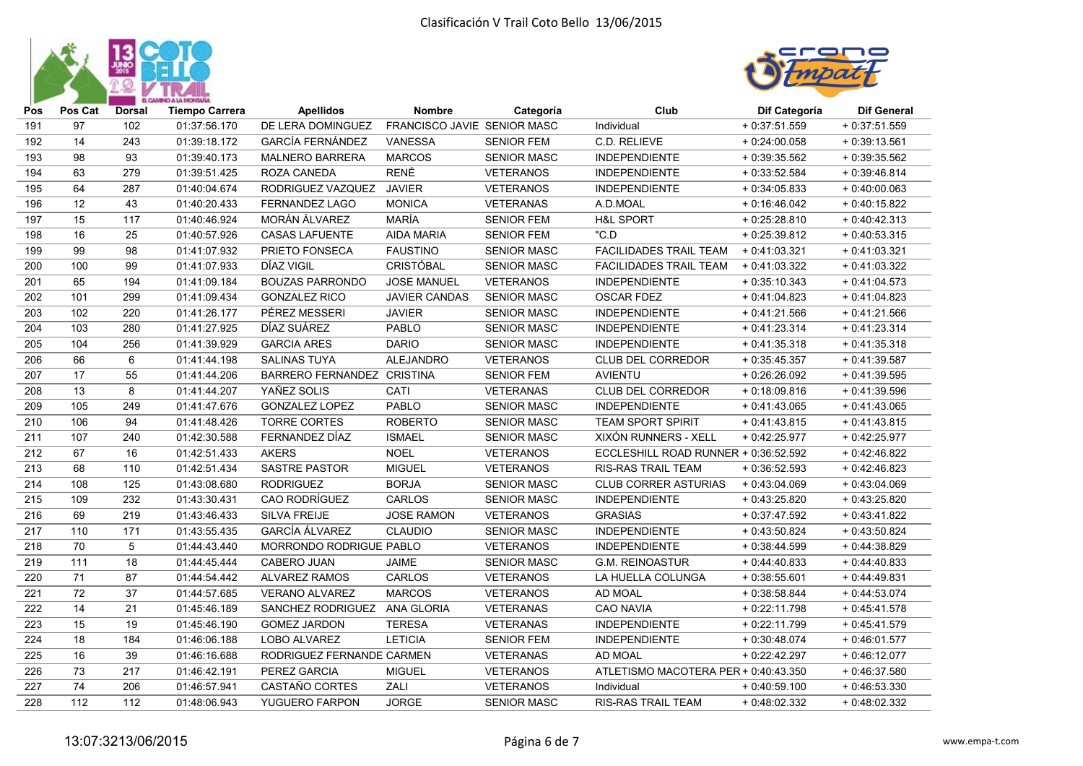



| Pos | Pos Cat | <b>Dorsal</b> | <b>Tiempo Carrera</b> | <b>Apellidos</b>             | <b>Nombre</b>               | Categoría          | Club                                 | Dif Categoría  | <b>Dif General</b> |
|-----|---------|---------------|-----------------------|------------------------------|-----------------------------|--------------------|--------------------------------------|----------------|--------------------|
| 191 | 97      | 102           | 01:37:56.170          | DE LERA DOMINGUEZ            | FRANCISCO JAVIE SENIOR MASC |                    | Individual                           | $+0:37:51.559$ | $+0:37:51.559$     |
| 192 | 14      | 243           | 01:39:18.172          | <b>GARCÍA FERNÁNDEZ</b>      | VANESSA                     | SENIOR FEM         | C.D. RELIEVE                         | $+0:24:00.058$ | $+0:39:13.561$     |
| 193 | 98      | 93            | 01:39:40.173          | <b>MALNERO BARRERA</b>       | <b>MARCOS</b>               | <b>SENIOR MASC</b> | <b>INDEPENDIENTE</b>                 | $+0.39.35.562$ | $+0.39.35.562$     |
| 194 | 63      | 279           | 01:39:51.425          | ROZA CANEDA                  | <b>RENÉ</b>                 | <b>VETERANOS</b>   | <b>INDEPENDIENTE</b>                 | $+0.33:52.584$ | $+0.39:46.814$     |
| 195 | 64      | 287           | 01:40:04.674          | RODRIGUEZ VAZQUEZ            | <b>JAVIER</b>               | <b>VETERANOS</b>   | <b>INDEPENDIENTE</b>                 | $+0.34.05.833$ | $+0.40:00.063$     |
| 196 | 12      | 43            | 01:40:20.433          | <b>FERNANDEZ LAGO</b>        | <b>MONICA</b>               | <b>VETERANAS</b>   | A.D.MOAL                             | $+0:16:46.042$ | $+0.40:15.822$     |
| 197 | 15      | 117           | 01:40:46.924          | MORÁN ÁLVAREZ                | MARÍA                       | <b>SENIOR FEM</b>  | <b>H&amp;L SPORT</b>                 | $+0.25:28.810$ | $+0:40:42.313$     |
| 198 | 16      | 25            | 01:40:57.926          | <b>CASAS LAFUENTE</b>        | <b>AIDA MARIA</b>           | <b>SENIOR FEM</b>  | "C.D                                 | $+0.25:39.812$ | $+0.40:53.315$     |
| 199 | 99      | 98            | 01:41:07.932          | PRIETO FONSECA               | <b>FAUSTINO</b>             | <b>SENIOR MASC</b> | FACILIDADES TRAIL TEAM               | $+0.41:03.321$ | $+0:41:03.321$     |
| 200 | 100     | 99            | 01:41:07.933          | DÍAZ VIGIL                   | <b>CRISTÓBAL</b>            | <b>SENIOR MASC</b> | FACILIDADES TRAIL TEAM               | $+0:41:03.322$ | $+0:41:03.322$     |
| 201 | 65      | 194           | 01:41:09.184          | <b>BOUZAS PARRONDO</b>       | <b>JOSE MANUEL</b>          | <b>VETERANOS</b>   | <b>INDEPENDIENTE</b>                 | $+0:35:10.343$ | $+0:41:04.573$     |
| 202 | 101     | 299           | 01:41:09.434          | <b>GONZALEZ RICO</b>         | <b>JAVIER CANDAS</b>        | <b>SENIOR MASC</b> | <b>OSCAR FDEZ</b>                    | $+0:41:04.823$ | $+0:41:04.823$     |
| 203 | 102     | 220           | 01:41:26.177          | PÉREZ MESSERI                | <b>JAVIER</b>               | <b>SENIOR MASC</b> | <b>INDEPENDIENTE</b>                 | $+0:41:21.566$ | $+0.41:21.566$     |
| 204 | 103     | 280           | 01:41:27.925          | DÍAZ SUÁREZ                  | <b>PABLO</b>                | <b>SENIOR MASC</b> | <b>INDEPENDIENTE</b>                 | $+0:41:23.314$ | $+0:41:23.314$     |
| 205 | 104     | 256           | 01:41:39.929          | <b>GARCIA ARES</b>           | <b>DARIO</b>                | <b>SENIOR MASC</b> | <b>INDEPENDIENTE</b>                 | $+0:41:35.318$ | $+0:41:35.318$     |
| 206 | 66      | 6             | 01:41:44.198          | <b>SALINAS TUYA</b>          | <b>ALEJANDRO</b>            | <b>VETERANOS</b>   | <b>CLUB DEL CORREDOR</b>             | $+0:35:45.357$ | $+0:41:39.587$     |
| 207 | 17      | 55            | 01:41:44.206          | BARRERO FERNANDEZ CRISTINA   |                             | <b>SENIOR FEM</b>  | <b>AVIENTU</b>                       | $+0.26:26.092$ | $+0:41:39.595$     |
| 208 | 13      | 8             | 01:41:44.207          | YAÑEZ SOLIS                  | CATI                        | <b>VETERANAS</b>   | CLUB DEL CORREDOR                    | $+0.18:09.816$ | $+0.41.39.596$     |
| 209 | 105     | 249           | 01:41:47.676          | <b>GONZALEZ LOPEZ</b>        | PABLO                       | <b>SENIOR MASC</b> | <b>INDEPENDIENTE</b>                 | $+0:41:43.065$ | $+0:41:43.065$     |
| 210 | 106     | 94            | 01:41:48.426          | <b>TORRE CORTES</b>          | <b>ROBERTO</b>              | <b>SENIOR MASC</b> | <b>TEAM SPORT SPIRIT</b>             | $+0:41:43.815$ | $+0.41:43.815$     |
| 211 | 107     | 240           | 01:42:30.588          | FERNANDEZ DÍAZ               | <b>ISMAEL</b>               | <b>SENIOR MASC</b> | XIXÓN RUNNERS - XELL                 | $+0:42:25.977$ | $+0.42:25.977$     |
| 212 | 67      | 16            | 01:42:51.433          | <b>AKERS</b>                 | <b>NOEL</b>                 | <b>VETERANOS</b>   | ECCLESHILL ROAD RUNNER + 0:36:52.592 |                | $+0:42:46.822$     |
| 213 | 68      | 110           | 01:42:51.434          | <b>SASTRE PASTOR</b>         | <b>MIGUEL</b>               | <b>VETERANOS</b>   | RIS-RAS TRAIL TEAM                   | $+0.36:52.593$ | $+0.42:46.823$     |
| 214 | 108     | 125           | 01:43:08.680          | <b>RODRIGUEZ</b>             | <b>BORJA</b>                | <b>SENIOR MASC</b> | <b>CLUB CORRER ASTURIAS</b>          | $+0.43.04.069$ | $+0.43.04.069$     |
| 215 | 109     | 232           | 01:43:30.431          | <b>CAO RODRÍGUEZ</b>         | <b>CARLOS</b>               | <b>SENIOR MASC</b> | <b>INDEPENDIENTE</b>                 | $+0:43:25.820$ | $+0.43:25.820$     |
| 216 | 69      | 219           | 01:43:46.433          | SILVA FREIJE                 | <b>JOSE RAMON</b>           | <b>VETERANOS</b>   | <b>GRASIAS</b>                       | $+0:37:47.592$ | $+0:43:41.822$     |
| 217 | 110     | 171           | 01:43:55.435          | <b>GARCÍA ÁLVAREZ</b>        | CLAUDIO                     | <b>SENIOR MASC</b> | <b>INDEPENDIENTE</b>                 | $+0.43:50.824$ | $+0.43:50.824$     |
| 218 | 70      | 5             | 01:44:43.440          | MORRONDO RODRIGUE PABLO      |                             | <b>VETERANOS</b>   | <b>INDEPENDIENTE</b>                 | $+0.38:44.599$ | $+0.44.38.829$     |
| 219 | 111     | 18            | 01:44:45.444          | <b>CABERO JUAN</b>           | <b>JAIME</b>                | <b>SENIOR MASC</b> | <b>G.M. REINOASTUR</b>               | $+0:44:40.833$ | $+0.44:40.833$     |
| 220 | 71      | 87            | 01:44:54.442          | <b>ALVAREZ RAMOS</b>         | <b>CARLOS</b>               | <b>VETERANOS</b>   | LA HUELLA COLUNGA                    | $+0.38:55.601$ | $+0.44:49.831$     |
| 221 | 72      | 37            | 01:44:57.685          | <b>VERANO ALVAREZ</b>        | <b>MARCOS</b>               | <b>VETERANOS</b>   | AD MOAL                              | $+0:38:58.844$ | $+0:44:53.074$     |
| 222 | 14      | 21            | 01:45:46.189          | SANCHEZ RODRIGUEZ ANA GLORIA |                             | <b>VETERANAS</b>   | <b>CAO NAVIA</b>                     | $+0:22:11.798$ | $+0.45:41.578$     |
| 223 | 15      | 19            | 01:45:46.190          | <b>GOMEZ JARDON</b>          | <b>TERESA</b>               | <b>VETERANAS</b>   | <b>INDEPENDIENTE</b>                 | $+0:22:11.799$ | $+0.45:41.579$     |
| 224 | 18      | 184           | 01:46:06.188          | LOBO ALVAREZ                 | <b>LETICIA</b>              | <b>SENIOR FEM</b>  | <b>INDEPENDIENTE</b>                 | $+0.30:48.074$ | $+0.46:01.577$     |
| 225 | 16      | 39            | 01:46:16.688          | RODRIGUEZ FERNANDE CARMEN    |                             | <b>VETERANAS</b>   | AD MOAL                              | $+0:22:42.297$ | $+0.46:12.077$     |
| 226 | 73      | 217           | 01:46:42.191          | PEREZ GARCIA                 | <b>MIGUEL</b>               | <b>VETERANOS</b>   | ATLETISMO MACOTERA PER + 0:40:43.350 |                | $+0.46:37.580$     |
| 227 | 74      | 206           | 01:46:57.941          | CASTAÑO CORTES               | ZALI                        | <b>VETERANOS</b>   | Individual                           | $+0.40:59.100$ | $+0.46:53.330$     |
| 228 | 112     | 112           | 01:48:06.943          | YUGUERO FARPON               | <b>JORGE</b>                | <b>SENIOR MASC</b> | RIS-RAS TRAIL TEAM                   | $+0.48:02.332$ | $+0.48:02.332$     |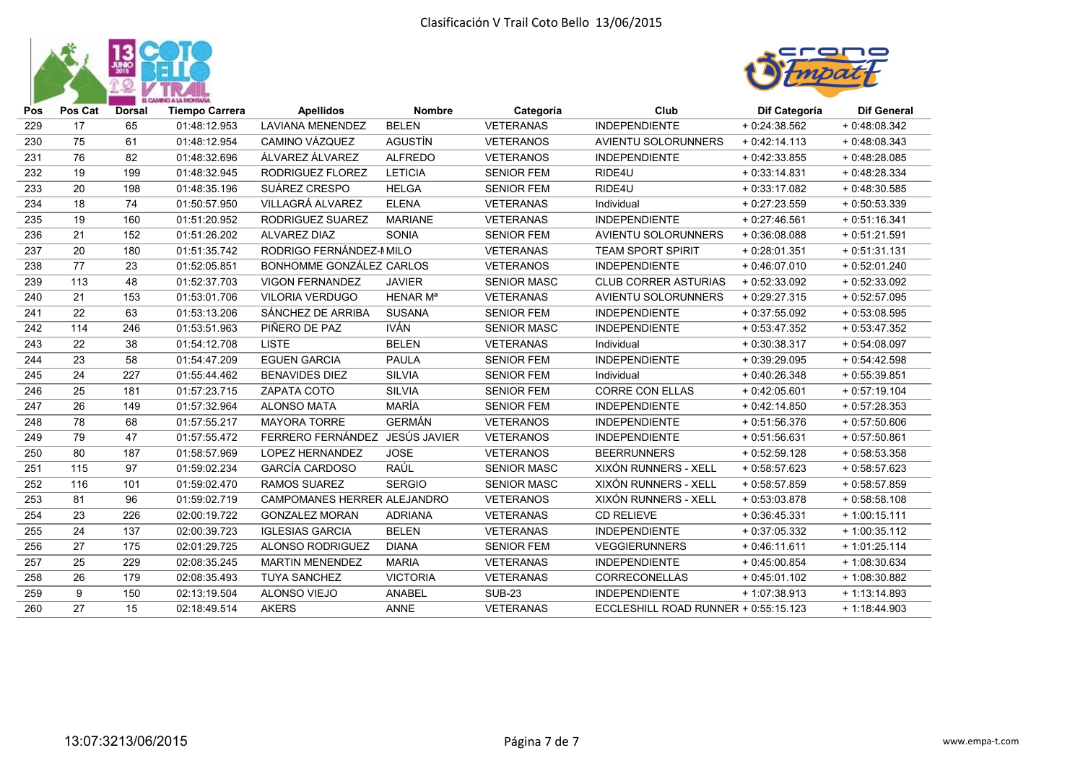



| Pos | Pos Cat | <b>Dorsal</b> | <b>Tiempo Carrera</b> | <b>Apellidos</b>                   | <b>Nombre</b>        | Categoría          | Club                                 | Dif Categoría  | <b>Dif General</b> |
|-----|---------|---------------|-----------------------|------------------------------------|----------------------|--------------------|--------------------------------------|----------------|--------------------|
| 229 | 17      | 65            | 01:48:12.953          | <b>LAVIANA MENENDEZ</b>            | <b>BELEN</b>         | <b>VETERANAS</b>   | <b>INDEPENDIENTE</b>                 | $+0.24.38.562$ | $+0.48.08.342$     |
| 230 | 75      | 61            | 01:48:12.954          | CAMINO VÁZQUEZ                     | <b>AGUSTÍN</b>       | <b>VETERANOS</b>   | <b>AVIENTU SOLORUNNERS</b>           | $+0.42:14.113$ | $+0.48.08.343$     |
| 231 | 76      | 82            | 01:48:32.696          | ÁLVAREZ ÁLVAREZ                    | <b>ALFREDO</b>       | <b>VETERANOS</b>   | <b>INDEPENDIENTE</b>                 | $+0.42:33.855$ | $+0.48:28.085$     |
| 232 | 19      | 199           | 01:48:32.945          | RODRIGUEZ FLOREZ                   | <b>LETICIA</b>       | <b>SENIOR FEM</b>  | RIDE4U                               | $+0.33:14.831$ | $+0.48:28.334$     |
| 233 | 20      | 198           | 01:48:35.196          | SUÁREZ CRESPO                      | <b>HELGA</b>         | <b>SENIOR FEM</b>  | RIDE4U                               | $+0.33:17.082$ | $+0.48.30.585$     |
| 234 | 18      | 74            | 01:50:57.950          | VILLAGRÁ ALVAREZ                   | <b>ELENA</b>         | <b>VETERANAS</b>   | Individual                           | $+0:27:23.559$ | $+0.50.53.339$     |
| 235 | 19      | 160           | 01:51:20.952          | <b>RODRIGUEZ SUAREZ</b>            | <b>MARIANE</b>       | <b>VETERANAS</b>   | <b>INDEPENDIENTE</b>                 | $+0.27:46.561$ | $+0:51:16.341$     |
| 236 | 21      | 152           | 01:51:26.202          | <b>ALVAREZ DIAZ</b>                | <b>SONIA</b>         | <b>SENIOR FEM</b>  | <b>AVIENTU SOLORUNNERS</b>           | $+0:36:08.088$ | $+0:51:21.591$     |
| 237 | 20      | 180           | 01:51:35.742          | RODRIGO FERNÁNDEZ-MILO             |                      | <b>VETERANAS</b>   | <b>TEAM SPORT SPIRIT</b>             | $+0.28:01.351$ | $+0:51:31.131$     |
| 238 | 77      | 23            | 01:52:05.851          | <b>BONHOMME GONZÁLEZ CARLOS</b>    |                      | <b>VETERANOS</b>   | <b>INDEPENDIENTE</b>                 | $+0:46:07.010$ | $+0:52:01.240$     |
| 239 | 113     | 48            | 01:52:37.703          | <b>VIGON FERNANDEZ</b>             | <b>JAVIER</b>        | <b>SENIOR MASC</b> | <b>CLUB CORRER ASTURIAS</b>          | $+0:52:33.092$ | $+0.52:33.092$     |
| 240 | 21      | 153           | 01:53:01.706          | <b>VILORIA VERDUGO</b>             | HENAR M <sup>a</sup> | <b>VETERANAS</b>   | <b>AVIENTU SOLORUNNERS</b>           | $+0:29:27.315$ | $+0:52:57.095$     |
| 241 | 22      | 63            | 01:53:13.206          | SÁNCHEZ DE ARRIBA                  | <b>SUSANA</b>        | <b>SENIOR FEM</b>  | <b>INDEPENDIENTE</b>                 | $+0.37:55.092$ | $+0.53.08.595$     |
| 242 | 114     | 246           | 01:53:51.963          | PIÑERO DE PAZ                      | <b>IVÁN</b>          | <b>SENIOR MASC</b> | <b>INDEPENDIENTE</b>                 | $+0:53:47.352$ | $+0:53:47.352$     |
| 243 | 22      | 38            | 01:54:12.708          | <b>LISTE</b>                       | <b>BELEN</b>         | <b>VETERANAS</b>   | Individual                           | $+0.30.38.317$ | $+0:54:08.097$     |
| 244 | 23      | 58            | 01:54:47.209          | <b>EGUEN GARCIA</b>                | <b>PAULA</b>         | <b>SENIOR FEM</b>  | <b>INDEPENDIENTE</b>                 | $+0.39:29.095$ | $+0:54:42.598$     |
| 245 | 24      | 227           | 01:55:44.462          | <b>BENAVIDES DIEZ</b>              | <b>SILVIA</b>        | <b>SENIOR FEM</b>  | Individual                           | $+0.40.26.348$ | $+0.55.39.851$     |
| 246 | 25      | 181           | 01:57:23.715          | ZAPATA COTO                        | <b>SILVIA</b>        | <b>SENIOR FEM</b>  | <b>CORRE CON ELLAS</b>               | $+0.42:05.601$ | $+0:57:19.104$     |
| 247 | 26      | 149           | 01:57:32.964          | <b>ALONSO MATA</b>                 | <b>MARÍA</b>         | <b>SENIOR FEM</b>  | <b>INDEPENDIENTE</b>                 | $+0.42:14.850$ | $+0:57:28.353$     |
| 248 | 78      | 68            | 01:57:55.217          | <b>MAYORA TORRE</b>                | <b>GERMÁN</b>        | <b>VETERANOS</b>   | <b>INDEPENDIENTE</b>                 | $+0:51:56.376$ | $+0:57:50.606$     |
| 249 | 79      | 47            | 01:57:55.472          | FERRERO FERNÁNDEZ JESÚS JAVIER     |                      | <b>VETERANOS</b>   | <b>INDEPENDIENTE</b>                 | $+0:51:56.631$ | $+0:57:50.861$     |
| 250 | 80      | 187           | 01:58:57.969          | <b>LOPEZ HERNANDEZ</b>             | <b>JOSE</b>          | <b>VETERANOS</b>   | <b>BEERRUNNERS</b>                   | $+0:52:59.128$ | $+0.58.53.358$     |
| 251 | 115     | 97            | 01:59:02.234          | <b>GARCÍA CARDOSO</b>              | RAÚL                 | <b>SENIOR MASC</b> | XIXÓN RUNNERS - XELL                 | $+0:58:57.623$ | $+0:58:57.623$     |
| 252 | 116     | 101           | 01:59:02.470          | <b>RAMOS SUAREZ</b>                | <b>SERGIO</b>        | <b>SENIOR MASC</b> | XIXÓN RUNNERS - XELL                 | $+0:58:57.859$ | $+0.58:57.859$     |
| 253 | 81      | 96            | 01:59:02.719          | <b>CAMPOMANES HERRER ALEJANDRO</b> |                      | <b>VETERANOS</b>   | XIXÓN RUNNERS - XELL                 | $+0.53.03.878$ | $+0.58.58.108$     |
| 254 | 23      | 226           | 02:00:19.722          | <b>GONZALEZ MORAN</b>              | <b>ADRIANA</b>       | <b>VETERANAS</b>   | <b>CD RELIEVE</b>                    | $+0.36:45.331$ | $+1:00:15.111$     |
| 255 | 24      | 137           | 02:00:39.723          | <b>IGLESIAS GARCIA</b>             | <b>BELEN</b>         | <b>VETERANAS</b>   | <b>INDEPENDIENTE</b>                 | $+0:37:05.332$ | $+1:00:35.112$     |
| 256 | 27      | 175           | 02:01:29.725          | <b>ALONSO RODRIGUEZ</b>            | <b>DIANA</b>         | <b>SENIOR FEM</b>  | <b>VEGGIERUNNERS</b>                 | $+0.46:11.611$ | $+1:01:25.114$     |
| 257 | 25      | 229           | 02:08:35.245          | <b>MARTIN MENENDEZ</b>             | <b>MARIA</b>         | <b>VETERANAS</b>   | <b>INDEPENDIENTE</b>                 | $+0.45:00.854$ | $+1:08:30.634$     |
| 258 | 26      | 179           | 02:08:35.493          | <b>TUYA SANCHEZ</b>                | <b>VICTORIA</b>      | <b>VETERANAS</b>   | <b>CORRECONELLAS</b>                 | $+0.45:01.102$ | + 1:08:30.882      |
| 259 | 9       | 150           | 02:13:19.504          | <b>ALONSO VIEJO</b>                | <b>ANABEL</b>        | <b>SUB-23</b>      | <b>INDEPENDIENTE</b>                 | $+1:07:38.913$ | $+1:13:14.893$     |
| 260 | 27      | 15            | 02:18:49.514          | <b>AKERS</b>                       | <b>ANNE</b>          | <b>VETERANAS</b>   | ECCLESHILL ROAD RUNNER + 0:55:15.123 |                | $+1:18:44.903$     |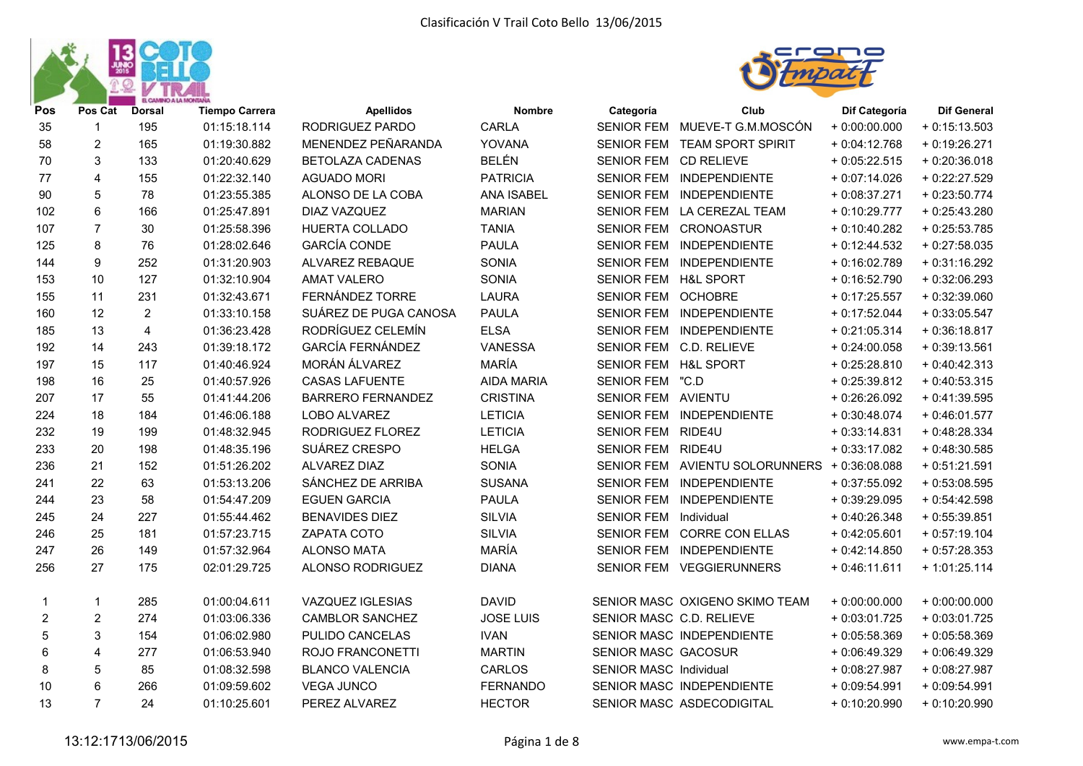



| Pos              | Pos Cat        | <b>Dorsal</b>  | <b>Tiempo Carrera</b> | <b>Apellidos</b>         | <b>Nombre</b>     | Categoría              | Club                           | Dif Categoría  | <b>Dif General</b> |
|------------------|----------------|----------------|-----------------------|--------------------------|-------------------|------------------------|--------------------------------|----------------|--------------------|
| 35               | 1              | 195            | 01:15:18.114          | RODRIGUEZ PARDO          | <b>CARLA</b>      |                        | SENIOR FEM MUEVE-T G.M.MOSCÓN  | $+0.00:00.000$ | $+0:15:13.503$     |
| 58               | $\overline{c}$ | 165            | 01:19:30.882          | MENENDEZ PEÑARANDA       | YOVANA            | <b>SENIOR FEM</b>      | <b>TEAM SPORT SPIRIT</b>       | $+0.04:12.768$ | $+0:19:26.271$     |
| 70               | 3              | 133            | 01:20:40.629          | <b>BETOLAZA CADENAS</b>  | <b>BELÉN</b>      | <b>SENIOR FEM</b>      | <b>CD RELIEVE</b>              | $+0.05:22.515$ | $+0.20.36.018$     |
| 77               | 4              | 155            | 01:22:32.140          | <b>AGUADO MORI</b>       | <b>PATRICIA</b>   | SENIOR FEM             | INDEPENDIENTE                  | $+0:07:14.026$ | + 0:22:27.529      |
| 90               | 5              | 78             | 01:23:55.385          | ALONSO DE LA COBA        | <b>ANA ISABEL</b> |                        | SENIOR FEM INDEPENDIENTE       | $+0.08:37.271$ | $+0.23:50.774$     |
| 102              | 6              | 166            | 01:25:47.891          | DIAZ VAZQUEZ             | <b>MARIAN</b>     |                        | SENIOR FEM LA CEREZAL TEAM     | $+0:10:29.777$ | $+0.25:43.280$     |
| 107              | $\overline{7}$ | 30             | 01:25:58.396          | HUERTA COLLADO           | <b>TANIA</b>      |                        | SENIOR FEM CRONOASTUR          | $+0:10:40.282$ | $+0.25:53.785$     |
| 125              | 8              | 76             | 01:28:02.646          | <b>GARCÍA CONDE</b>      | <b>PAULA</b>      |                        | SENIOR FEM INDEPENDIENTE       | $+0:12:44.532$ | $+0.27:58.035$     |
| 144              | 9              | 252            | 01:31:20.903          | ALVAREZ REBAQUE          | SONIA             |                        | SENIOR FEM INDEPENDIENTE       | $+0:16:02.789$ | $+0:31:16.292$     |
| 153              | 10             | 127            | 01:32:10.904          | <b>AMAT VALERO</b>       | SONIA             | SENIOR FEM H&L SPORT   |                                | $+0:16:52.790$ | $+0.32:06.293$     |
| 155              | 11             | 231            | 01:32:43.671          | FERNÁNDEZ TORRE          | <b>LAURA</b>      | SENIOR FEM OCHOBRE     |                                | $+0:17:25.557$ | $+0.32.39.060$     |
| 160              | 12             | $\overline{2}$ | 01:33:10.158          | SUÁREZ DE PUGA CANOSA    | <b>PAULA</b>      |                        | SENIOR FEM INDEPENDIENTE       | $+0:17:52.044$ | $+0.33:05.547$     |
| 185              | 13             | $\overline{4}$ | 01:36:23.428          | RODRÍGUEZ CELEMÍN        | <b>ELSA</b>       |                        | SENIOR FEM INDEPENDIENTE       | $+0.21:05.314$ | $+0.36:18.817$     |
| 192              | 14             | 243            | 01:39:18.172          | <b>GARCÍA FERNÁNDEZ</b>  | VANESSA           |                        | SENIOR FEM C.D. RELIEVE        | $+0.24:00.058$ | $+0.39:13.561$     |
| 197              | 15             | 117            | 01:40:46.924          | MORÁN ÁLVAREZ            | <b>MARÍA</b>      | SENIOR FEM             | <b>H&amp;L SPORT</b>           | $+0.25:28.810$ | $+0:40:42.313$     |
| 198              | 16             | 25             | 01:40:57.926          | <b>CASAS LAFUENTE</b>    | AIDA MARIA        | SENIOR FEM "C.D        |                                | $+0.25.39.812$ | $+0.40:53.315$     |
| 207              | 17             | 55             | 01:41:44.206          | <b>BARRERO FERNANDEZ</b> | <b>CRISTINA</b>   | SENIOR FEM AVIENTU     |                                | $+0.26.26.092$ | $+0.41:39.595$     |
| 224              | 18             | 184            | 01:46:06.188          | LOBO ALVAREZ             | <b>LETICIA</b>    | <b>SENIOR FEM</b>      | INDEPENDIENTE                  | $+0.30:48.074$ | $+0.46:01.577$     |
| 232              | 19             | 199            | 01:48:32.945          | RODRIGUEZ FLOREZ         | <b>LETICIA</b>    | SENIOR FEM RIDE4U      |                                | $+0:33:14.831$ | $+0.48:28.334$     |
| 233              | 20             | 198            | 01:48:35.196          | SUÁREZ CRESPO            | <b>HELGA</b>      | SENIOR FEM RIDE4U      |                                | $+0.33:17.082$ | $+0.48:30.585$     |
| 236              | 21             | 152            | 01:51:26.202          | ALVAREZ DIAZ             | SONIA             |                        | SENIOR FEM AVIENTU SOLORUNNERS | + 0:36:08.088  | $+0:51:21.591$     |
| 241              | 22             | 63             | 01:53:13.206          | SÁNCHEZ DE ARRIBA        | <b>SUSANA</b>     | <b>SENIOR FEM</b>      | INDEPENDIENTE                  | $+0.37:55.092$ | $+0.53:08.595$     |
| 244              | 23             | 58             | 01:54:47.209          | <b>EGUEN GARCIA</b>      | <b>PAULA</b>      | <b>SENIOR FEM</b>      | INDEPENDIENTE                  | $+0.39:29.095$ | $+0.54:42.598$     |
| 245              | 24             | 227            | 01:55:44.462          | <b>BENAVIDES DIEZ</b>    | <b>SILVIA</b>     | SENIOR FEM             | Individual                     | $+0.40:26.348$ | $+0.55:39.851$     |
| 246              | 25             | 181            | 01:57:23.715          | ZAPATA COTO              | <b>SILVIA</b>     | <b>SENIOR FEM</b>      | <b>CORRE CON ELLAS</b>         | $+0.42:05.601$ | $+0:57:19.104$     |
| 247              | 26             | 149            | 01:57:32.964          | <b>ALONSO MATA</b>       | MARÍA             | SENIOR FEM             | <b>INDEPENDIENTE</b>           | $+0.42:14.850$ | $+0:57:28.353$     |
| 256              | 27             | 175            | 02:01:29.725          | ALONSO RODRIGUEZ         | <b>DIANA</b>      |                        | SENIOR FEM VEGGIERUNNERS       | $+0.46:11.611$ | $+1:01:25.114$     |
| 1                | 1              | 285            | 01:00:04.611          | VAZQUEZ IGLESIAS         | <b>DAVID</b>      |                        | SENIOR MASC OXIGENO SKIMO TEAM | $+0.00:00.000$ | $+0.00:00.000$     |
| $\boldsymbol{2}$ | $\overline{c}$ | 274            | 01:03:06.336          | <b>CAMBLOR SANCHEZ</b>   | <b>JOSE LUIS</b>  |                        | SENIOR MASC C.D. RELIEVE       | $+0.03:01.725$ | $+0:03:01.725$     |
| 5                | 3              | 154            | 01:06:02.980          | PULIDO CANCELAS          | <b>IVAN</b>       |                        | SENIOR MASC INDEPENDIENTE      | $+0.05:58.369$ | $+0.05:58.369$     |
| 6                | 4              | 277            | 01:06:53.940          | ROJO FRANCONETTI         | <b>MARTIN</b>     | SENIOR MASC GACOSUR    |                                | $+0.06:49.329$ | $+0.06:49.329$     |
| 8                | 5              | 85             | 01:08:32.598          | <b>BLANCO VALENCIA</b>   | CARLOS            | SENIOR MASC Individual |                                | + 0:08:27.987  | + 0:08:27.987      |
| 10               | 6              | 266            | 01:09:59.602          | <b>VEGA JUNCO</b>        | <b>FERNANDO</b>   |                        | SENIOR MASC INDEPENDIENTE      | $+0.09:54.991$ | $+0.09:54.991$     |
| 13               | $\overline{7}$ | 24             | 01:10:25.601          | PEREZ ALVAREZ            | <b>HECTOR</b>     |                        | SENIOR MASC ASDECODIGITAL      | $+0:10:20.990$ | $+0:10:20.990$     |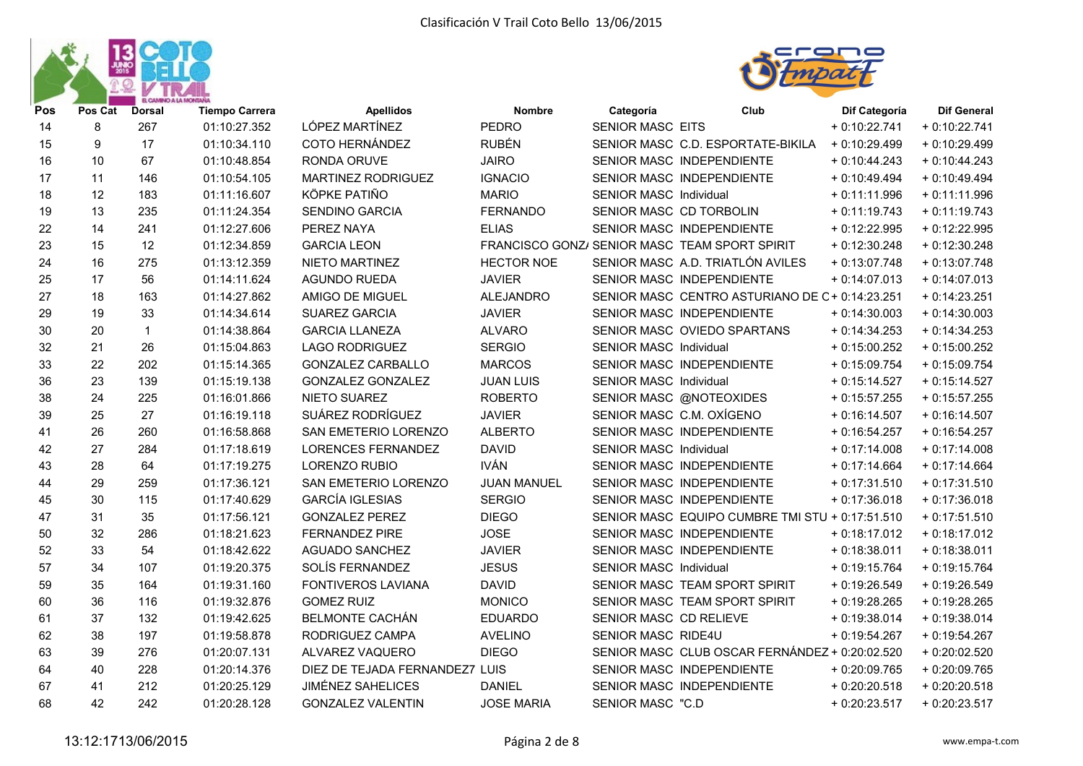



| Pos | Pos Cat | <b>Dorsal</b> | <b>Tiempo Carrera</b> | <b>Apellidos</b>               | <b>Nombre</b>      | Categoría                     | Club                                            | Dif Categoría  | <b>Dif General</b> |
|-----|---------|---------------|-----------------------|--------------------------------|--------------------|-------------------------------|-------------------------------------------------|----------------|--------------------|
| 14  | 8       | 267           | 01:10:27.352          | LÓPEZ MARTÍNEZ                 | <b>PEDRO</b>       | <b>SENIOR MASC EITS</b>       |                                                 | $+0:10:22.741$ | $+0:10:22.741$     |
| 15  | 9       | 17            | 01:10:34.110          | COTO HERNÁNDEZ                 | <b>RUBÉN</b>       |                               | SENIOR MASC C.D. ESPORTATE-BIKILA               | $+0:10:29.499$ | $+0:10:29.499$     |
| 16  | 10      | 67            | 01:10:48.854          | RONDA ORUVE                    | <b>JAIRO</b>       |                               | SENIOR MASC INDEPENDIENTE                       | $+0:10:44.243$ | $+0:10:44.243$     |
| 17  | 11      | 146           | 01:10:54.105          | MARTINEZ RODRIGUEZ             | <b>IGNACIO</b>     |                               | SENIOR MASC INDEPENDIENTE                       | $+0.10:49.494$ | $+0:10:49.494$     |
| 18  | 12      | 183           | 01:11:16.607          | KÖPKE PATIÑO                   | <b>MARIO</b>       | <b>SENIOR MASC Individual</b> |                                                 | $+0:11:11.996$ | $+0:11:11.996$     |
| 19  | 13      | 235           | 01:11:24.354          | <b>SENDINO GARCIA</b>          | <b>FERNANDO</b>    |                               | SENIOR MASC CD TORBOLIN                         | $+0:11:19.743$ | $+0:11:19.743$     |
| 22  | 14      | 241           | 01:12:27.606          | PEREZ NAYA                     | <b>ELIAS</b>       |                               | SENIOR MASC INDEPENDIENTE                       | $+0.12:22.995$ | $+0:12:22.995$     |
| 23  | 15      | 12            | 01:12:34.859          | <b>GARCIA LEON</b>             |                    |                               | FRANCISCO GONZ/ SENIOR MASC TEAM SPORT SPIRIT   | $+0:12:30.248$ | $+0:12:30.248$     |
| 24  | 16      | 275           | 01:13:12.359          | NIETO MARTINEZ                 | <b>HECTOR NOE</b>  |                               | SENIOR MASC A.D. TRIATLÓN AVILES                | $+0.13.07.748$ | $+0:13:07.748$     |
| 25  | 17      | 56            | 01:14:11.624          | <b>AGUNDO RUEDA</b>            | <b>JAVIER</b>      |                               | SENIOR MASC INDEPENDIENTE                       | $+0:14:07.013$ | $+0:14:07.013$     |
| 27  | 18      | 163           | 01:14:27.862          | AMIGO DE MIGUEL                | <b>ALEJANDRO</b>   |                               | SENIOR MASC CENTRO ASTURIANO DE C+0:14:23.251   |                | $+0:14:23.251$     |
| 29  | 19      | 33            | 01:14:34.614          | SUAREZ GARCIA                  | <b>JAVIER</b>      |                               | SENIOR MASC INDEPENDIENTE                       | $+0:14:30.003$ | $+0:14:30.003$     |
| 30  | 20      | $\mathbf{1}$  | 01:14:38.864          | <b>GARCIA LLANEZA</b>          | <b>ALVARO</b>      |                               | SENIOR MASC OVIEDO SPARTANS                     | $+0:14:34.253$ | $+0:14:34.253$     |
| 32  | 21      | 26            | 01:15:04.863          | <b>LAGO RODRIGUEZ</b>          | <b>SERGIO</b>      | SENIOR MASC Individual        |                                                 | $+0:15:00.252$ | $+0:15:00.252$     |
| 33  | 22      | 202           | 01:15:14.365          | <b>GONZALEZ CARBALLO</b>       | <b>MARCOS</b>      |                               | SENIOR MASC INDEPENDIENTE                       | $+0.15.09.754$ | $+0:15:09.754$     |
| 36  | 23      | 139           | 01:15:19.138          | <b>GONZALEZ GONZALEZ</b>       | <b>JUAN LUIS</b>   | SENIOR MASC Individual        |                                                 | $+0:15:14.527$ | $+0:15:14.527$     |
| 38  | 24      | 225           | 01:16:01.866          | NIETO SUAREZ                   | <b>ROBERTO</b>     |                               | SENIOR MASC @NOTEOXIDES                         | $+0.15.57.255$ | $+0.15:57.255$     |
| 39  | 25      | 27            | 01:16:19.118          | SUÁREZ RODRÍGUEZ               | <b>JAVIER</b>      |                               | SENIOR MASC C.M. OXÍGENO                        | $+0:16:14.507$ | $+0.16:14.507$     |
| 41  | 26      | 260           | 01:16:58.868          | SAN EMETERIO LORENZO           | <b>ALBERTO</b>     |                               | SENIOR MASC INDEPENDIENTE                       | $+0.16.54.257$ | $+0.16:54.257$     |
| 42  | 27      | 284           | 01:17:18.619          | <b>LORENCES FERNANDEZ</b>      | <b>DAVID</b>       | SENIOR MASC Individual        |                                                 | $+0:17:14.008$ | $+0:17:14.008$     |
| 43  | 28      | 64            | 01:17:19.275          | LORENZO RUBIO                  | <b>IVÁN</b>        |                               | SENIOR MASC INDEPENDIENTE                       | $+0:17:14.664$ | $+0:17:14.664$     |
| 44  | 29      | 259           | 01:17:36.121          | SAN EMETERIO LORENZO           | <b>JUAN MANUEL</b> |                               | SENIOR MASC INDEPENDIENTE                       | $+0:17:31.510$ | $+0:17:31.510$     |
| 45  | 30      | 115           | 01:17:40.629          | <b>GARCÍA IGLESIAS</b>         | <b>SERGIO</b>      |                               | SENIOR MASC INDEPENDIENTE                       | $+0:17:36.018$ | $+0:17:36.018$     |
| 47  | 31      | 35            | 01:17:56.121          | <b>GONZALEZ PEREZ</b>          | <b>DIEGO</b>       |                               | SENIOR MASC EQUIPO CUMBRE TMI STU + 0:17:51.510 |                | $+0:17:51.510$     |
| 50  | 32      | 286           | 01:18:21.623          | <b>FERNANDEZ PIRE</b>          | <b>JOSE</b>        |                               | SENIOR MASC INDEPENDIENTE                       | $+0.18:17.012$ | $+0:18:17.012$     |
| 52  | 33      | 54            | 01:18:42.622          | AGUADO SANCHEZ                 | <b>JAVIER</b>      |                               | SENIOR MASC INDEPENDIENTE                       | $+0.18.38.011$ | $+0.18.38.011$     |
| 57  | 34      | 107           | 01:19:20.375          | SOLÍS FERNANDEZ                | <b>JESUS</b>       | <b>SENIOR MASC Individual</b> |                                                 | $+0.19:15.764$ | $+0:19:15.764$     |
| 59  | 35      | 164           | 01:19:31.160          | <b>FONTIVEROS LAVIANA</b>      | <b>DAVID</b>       |                               | SENIOR MASC TEAM SPORT SPIRIT                   | $+0.19:26.549$ | $+0.19:26.549$     |
| 60  | 36      | 116           | 01:19:32.876          | <b>GOMEZ RUIZ</b>              | <b>MONICO</b>      |                               | SENIOR MASC TEAM SPORT SPIRIT                   | $+0.19:28.265$ | $+0.19:28.265$     |
| 61  | 37      | 132           | 01:19:42.625          | <b>BELMONTE CACHÁN</b>         | <b>EDUARDO</b>     | SENIOR MASC CD RELIEVE        |                                                 | $+0:19:38.014$ | $+0.19.38.014$     |
| 62  | 38      | 197           | 01:19:58.878          | RODRIGUEZ CAMPA                | <b>AVELINO</b>     | SENIOR MASC RIDE4U            |                                                 | $+0.19.54.267$ | $+0:19:54.267$     |
| 63  | 39      | 276           | 01:20:07.131          | ALVAREZ VAQUERO                | <b>DIEGO</b>       |                               | SENIOR MASC CLUB OSCAR FERNÁNDEZ + 0:20:02.520  |                | $+0.20:02.520$     |
| 64  | 40      | 228           | 01:20:14.376          | DIEZ DE TEJADA FERNANDEZ7 LUIS |                    |                               | SENIOR MASC INDEPENDIENTE                       | $+0.20:09.765$ | $+0.20:09.765$     |
| 67  | 41      | 212           | 01:20:25.129          | <b>JIMÉNEZ SAHELICES</b>       | <b>DANIEL</b>      |                               | SENIOR MASC INDEPENDIENTE                       | $+0.20:20.518$ | $+0.20:20.518$     |
| 68  | 42      | 242           | 01:20:28.128          | <b>GONZALEZ VALENTIN</b>       | <b>JOSE MARIA</b>  | <b>SENIOR MASC "C.D</b>       |                                                 | $+0.20:23.517$ | $+0.20:23.517$     |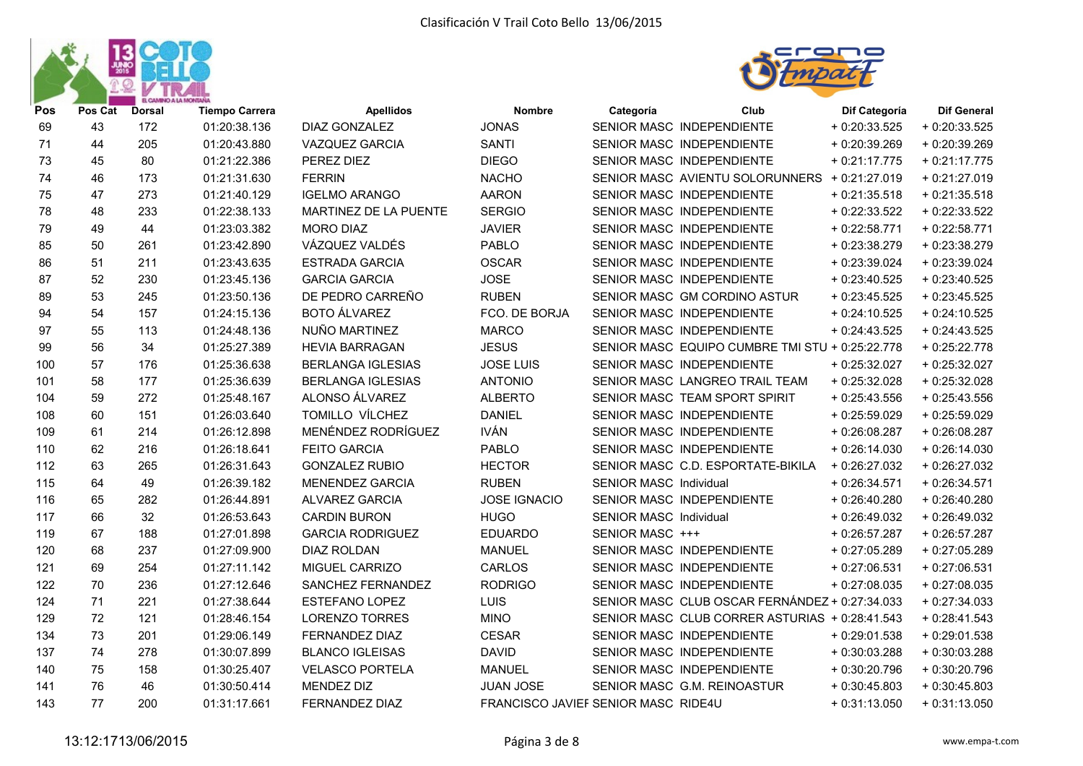



|    | <b>Dorsal</b> | <b>Tiempo Carrera</b> | <b>Apellidos</b>         | <b>Nombre</b>       | Categoría | Club | Dif Categoría                                                                                                                                                                                                                                                                                                                                                                                                                                                                                                                                                                                                                                                                                                                                                                                                                                                                                                                                                 | <b>Dif General</b>                                                                                                                                                                                   |
|----|---------------|-----------------------|--------------------------|---------------------|-----------|------|---------------------------------------------------------------------------------------------------------------------------------------------------------------------------------------------------------------------------------------------------------------------------------------------------------------------------------------------------------------------------------------------------------------------------------------------------------------------------------------------------------------------------------------------------------------------------------------------------------------------------------------------------------------------------------------------------------------------------------------------------------------------------------------------------------------------------------------------------------------------------------------------------------------------------------------------------------------|------------------------------------------------------------------------------------------------------------------------------------------------------------------------------------------------------|
| 43 | 172           | 01:20:38.136          | DIAZ GONZALEZ            | <b>JONAS</b>        |           |      | $+0.20:33.525$                                                                                                                                                                                                                                                                                                                                                                                                                                                                                                                                                                                                                                                                                                                                                                                                                                                                                                                                                | $+0.20.33.525$                                                                                                                                                                                       |
| 44 | 205           | 01:20:43.880          | <b>VAZQUEZ GARCIA</b>    | <b>SANTI</b>        |           |      | $+0.20.39.269$                                                                                                                                                                                                                                                                                                                                                                                                                                                                                                                                                                                                                                                                                                                                                                                                                                                                                                                                                | + 0:20:39.269                                                                                                                                                                                        |
| 45 | 80            | 01:21:22.386          | PEREZ DIEZ               | <b>DIEGO</b>        |           |      | $+0:21:17.775$                                                                                                                                                                                                                                                                                                                                                                                                                                                                                                                                                                                                                                                                                                                                                                                                                                                                                                                                                | $+0:21:17.775$                                                                                                                                                                                       |
| 46 | 173           | 01:21:31.630          | <b>FERRIN</b>            | <b>NACHO</b>        |           |      |                                                                                                                                                                                                                                                                                                                                                                                                                                                                                                                                                                                                                                                                                                                                                                                                                                                                                                                                                               | $+0.21:27.019$                                                                                                                                                                                       |
| 47 | 273           | 01:21:40.129          | <b>IGELMO ARANGO</b>     | <b>AARON</b>        |           |      | $+0.21:35.518$                                                                                                                                                                                                                                                                                                                                                                                                                                                                                                                                                                                                                                                                                                                                                                                                                                                                                                                                                | $+0.21:35.518$                                                                                                                                                                                       |
| 48 | 233           | 01:22:38.133          | MARTINEZ DE LA PUENTE    | <b>SERGIO</b>       |           |      | $+0.22.33.522$                                                                                                                                                                                                                                                                                                                                                                                                                                                                                                                                                                                                                                                                                                                                                                                                                                                                                                                                                | $+0.22:33.522$                                                                                                                                                                                       |
| 49 | 44            | 01:23:03.382          | <b>MORO DIAZ</b>         | <b>JAVIER</b>       |           |      | $+0.22:58.771$                                                                                                                                                                                                                                                                                                                                                                                                                                                                                                                                                                                                                                                                                                                                                                                                                                                                                                                                                | $+0.22:58.771$                                                                                                                                                                                       |
| 50 | 261           | 01:23:42.890          | VÁZQUEZ VALDÉS           | PABLO               |           |      | $+0.23.38.279$                                                                                                                                                                                                                                                                                                                                                                                                                                                                                                                                                                                                                                                                                                                                                                                                                                                                                                                                                | $+0.23.38.279$                                                                                                                                                                                       |
| 51 | 211           | 01:23:43.635          | <b>ESTRADA GARCIA</b>    | <b>OSCAR</b>        |           |      | $+0.23.39.024$                                                                                                                                                                                                                                                                                                                                                                                                                                                                                                                                                                                                                                                                                                                                                                                                                                                                                                                                                | $+0.23.39.024$                                                                                                                                                                                       |
| 52 | 230           | 01:23:45.136          | <b>GARCIA GARCIA</b>     | <b>JOSE</b>         |           |      | $+0.23:40.525$                                                                                                                                                                                                                                                                                                                                                                                                                                                                                                                                                                                                                                                                                                                                                                                                                                                                                                                                                | $+0.23:40.525$                                                                                                                                                                                       |
| 53 | 245           | 01:23:50.136          | DE PEDRO CARREÑO         | <b>RUBEN</b>        |           |      | $+0.23:45.525$                                                                                                                                                                                                                                                                                                                                                                                                                                                                                                                                                                                                                                                                                                                                                                                                                                                                                                                                                | $+0.23:45.525$                                                                                                                                                                                       |
| 54 | 157           | 01:24:15.136          | <b>BOTO ÁLVAREZ</b>      | FCO. DE BORJA       |           |      | $+0.24:10.525$                                                                                                                                                                                                                                                                                                                                                                                                                                                                                                                                                                                                                                                                                                                                                                                                                                                                                                                                                | $+0.24:10.525$                                                                                                                                                                                       |
| 55 | 113           | 01:24:48.136          | NUÑO MARTINEZ            | <b>MARCO</b>        |           |      | $+0.24:43.525$                                                                                                                                                                                                                                                                                                                                                                                                                                                                                                                                                                                                                                                                                                                                                                                                                                                                                                                                                | $+0:24:43.525$                                                                                                                                                                                       |
| 56 | 34            | 01:25:27.389          | <b>HEVIA BARRAGAN</b>    | <b>JESUS</b>        |           |      |                                                                                                                                                                                                                                                                                                                                                                                                                                                                                                                                                                                                                                                                                                                                                                                                                                                                                                                                                               | $+0.25:22.778$                                                                                                                                                                                       |
| 57 | 176           | 01:25:36.638          | <b>BERLANGA IGLESIAS</b> | <b>JOSE LUIS</b>    |           |      | $+0.25:32.027$                                                                                                                                                                                                                                                                                                                                                                                                                                                                                                                                                                                                                                                                                                                                                                                                                                                                                                                                                | $+0.25:32.027$                                                                                                                                                                                       |
| 58 | 177           | 01:25:36.639          | <b>BERLANGA IGLESIAS</b> | <b>ANTONIO</b>      |           |      | $+0.25:32.028$                                                                                                                                                                                                                                                                                                                                                                                                                                                                                                                                                                                                                                                                                                                                                                                                                                                                                                                                                | $+0.25:32.028$                                                                                                                                                                                       |
| 59 | 272           | 01:25:48.167          | ALONSO ÁLVAREZ           | <b>ALBERTO</b>      |           |      | $+0.25:43.556$                                                                                                                                                                                                                                                                                                                                                                                                                                                                                                                                                                                                                                                                                                                                                                                                                                                                                                                                                | $+0.25:43.556$                                                                                                                                                                                       |
| 60 | 151           | 01:26:03.640          | TOMILLO VÍLCHEZ          | <b>DANIEL</b>       |           |      | $+0.25:59.029$                                                                                                                                                                                                                                                                                                                                                                                                                                                                                                                                                                                                                                                                                                                                                                                                                                                                                                                                                | $+0.25:59.029$                                                                                                                                                                                       |
| 61 | 214           | 01:26:12.898          | MENÉNDEZ RODRÍGUEZ       | <b>IVÁN</b>         |           |      | $+0.26:08.287$                                                                                                                                                                                                                                                                                                                                                                                                                                                                                                                                                                                                                                                                                                                                                                                                                                                                                                                                                | $+0.26:08.287$                                                                                                                                                                                       |
| 62 | 216           | 01:26:18.641          | <b>FEITO GARCIA</b>      | PABLO               |           |      | $+0.26:14.030$                                                                                                                                                                                                                                                                                                                                                                                                                                                                                                                                                                                                                                                                                                                                                                                                                                                                                                                                                | $+0.26:14.030$                                                                                                                                                                                       |
| 63 | 265           | 01:26:31.643          | <b>GONZALEZ RUBIO</b>    | <b>HECTOR</b>       |           |      | $+0.26:27.032$                                                                                                                                                                                                                                                                                                                                                                                                                                                                                                                                                                                                                                                                                                                                                                                                                                                                                                                                                | $+0.26:27.032$                                                                                                                                                                                       |
| 64 | 49            | 01:26:39.182          | <b>MENENDEZ GARCIA</b>   | <b>RUBEN</b>        |           |      | $+0.26:34.571$                                                                                                                                                                                                                                                                                                                                                                                                                                                                                                                                                                                                                                                                                                                                                                                                                                                                                                                                                | $+0.26:34.571$                                                                                                                                                                                       |
| 65 | 282           | 01:26:44.891          | <b>ALVAREZ GARCIA</b>    | <b>JOSE IGNACIO</b> |           |      | $+0.26:40.280$                                                                                                                                                                                                                                                                                                                                                                                                                                                                                                                                                                                                                                                                                                                                                                                                                                                                                                                                                | $+0.26:40.280$                                                                                                                                                                                       |
| 66 | 32            | 01:26:53.643          | <b>CARDIN BURON</b>      | <b>HUGO</b>         |           |      | $+0.26:49.032$                                                                                                                                                                                                                                                                                                                                                                                                                                                                                                                                                                                                                                                                                                                                                                                                                                                                                                                                                | $+0.26:49.032$                                                                                                                                                                                       |
| 67 | 188           | 01:27:01.898          | <b>GARCIA RODRIGUEZ</b>  | <b>EDUARDO</b>      |           |      | $+0.26:57.287$                                                                                                                                                                                                                                                                                                                                                                                                                                                                                                                                                                                                                                                                                                                                                                                                                                                                                                                                                | $+0.26:57.287$                                                                                                                                                                                       |
| 68 | 237           | 01:27:09.900          | <b>DIAZ ROLDAN</b>       | <b>MANUEL</b>       |           |      | $+0.27:05.289$                                                                                                                                                                                                                                                                                                                                                                                                                                                                                                                                                                                                                                                                                                                                                                                                                                                                                                                                                | + 0:27:05.289                                                                                                                                                                                        |
| 69 | 254           | 01:27:11.142          | MIGUEL CARRIZO           | CARLOS              |           |      | $+0.27:06.531$                                                                                                                                                                                                                                                                                                                                                                                                                                                                                                                                                                                                                                                                                                                                                                                                                                                                                                                                                | $+0.27:06.531$                                                                                                                                                                                       |
| 70 | 236           | 01:27:12.646          | SANCHEZ FERNANDEZ        | <b>RODRIGO</b>      |           |      | $+0.27:08.035$                                                                                                                                                                                                                                                                                                                                                                                                                                                                                                                                                                                                                                                                                                                                                                                                                                                                                                                                                | $+0.27:08.035$                                                                                                                                                                                       |
| 71 | 221           | 01:27:38.644          | <b>ESTEFANO LOPEZ</b>    | LUIS                |           |      |                                                                                                                                                                                                                                                                                                                                                                                                                                                                                                                                                                                                                                                                                                                                                                                                                                                                                                                                                               | $+0.27:34.033$                                                                                                                                                                                       |
| 72 | 121           | 01:28:46.154          | <b>LORENZO TORRES</b>    | <b>MINO</b>         |           |      |                                                                                                                                                                                                                                                                                                                                                                                                                                                                                                                                                                                                                                                                                                                                                                                                                                                                                                                                                               | $+0.28:41.543$                                                                                                                                                                                       |
| 73 | 201           | 01:29:06.149          | FERNANDEZ DIAZ           | <b>CESAR</b>        |           |      | $+0.29:01.538$                                                                                                                                                                                                                                                                                                                                                                                                                                                                                                                                                                                                                                                                                                                                                                                                                                                                                                                                                | $+0.29:01.538$                                                                                                                                                                                       |
| 74 | 278           | 01:30:07.899          | <b>BLANCO IGLEISAS</b>   | <b>DAVID</b>        |           |      | $+0.30:03.288$                                                                                                                                                                                                                                                                                                                                                                                                                                                                                                                                                                                                                                                                                                                                                                                                                                                                                                                                                | $+0:30:03.288$                                                                                                                                                                                       |
| 75 | 158           | 01:30:25.407          | <b>VELASCO PORTELA</b>   | <b>MANUEL</b>       |           |      | $+0.30:20.796$                                                                                                                                                                                                                                                                                                                                                                                                                                                                                                                                                                                                                                                                                                                                                                                                                                                                                                                                                | $+0:30:20.796$                                                                                                                                                                                       |
| 76 | 46            | 01:30:50.414          | MENDEZ DIZ               | JUAN JOSE           |           |      | $+0:30:45.803$                                                                                                                                                                                                                                                                                                                                                                                                                                                                                                                                                                                                                                                                                                                                                                                                                                                                                                                                                | $+0.30:45.803$                                                                                                                                                                                       |
| 77 | 200           | 01:31:17.661          | <b>FERNANDEZ DIAZ</b>    |                     |           |      | $+0:31:13.050$                                                                                                                                                                                                                                                                                                                                                                                                                                                                                                                                                                                                                                                                                                                                                                                                                                                                                                                                                | $+0:31:13.050$                                                                                                                                                                                       |
|    |               | Pos Cat               |                          |                     |           |      | SENIOR MASC INDEPENDIENTE<br>SENIOR MASC INDEPENDIENTE<br>SENIOR MASC INDEPENDIENTE<br>SENIOR MASC INDEPENDIENTE<br>SENIOR MASC INDEPENDIENTE<br>SENIOR MASC INDEPENDIENTE<br>SENIOR MASC INDEPENDIENTE<br>SENIOR MASC INDEPENDIENTE<br>SENIOR MASC INDEPENDIENTE<br>SENIOR MASC GM CORDINO ASTUR<br>SENIOR MASC INDEPENDIENTE<br>SENIOR MASC INDEPENDIENTE<br>SENIOR MASC INDEPENDIENTE<br>SENIOR MASC LANGREO TRAIL TEAM<br>SENIOR MASC TEAM SPORT SPIRIT<br>SENIOR MASC INDEPENDIENTE<br>SENIOR MASC INDEPENDIENTE<br>SENIOR MASC INDEPENDIENTE<br>SENIOR MASC C.D. ESPORTATE-BIKILA<br><b>SENIOR MASC Individual</b><br>SENIOR MASC INDEPENDIENTE<br><b>SENIOR MASC Individual</b><br>SENIOR MASC +++<br>SENIOR MASC INDEPENDIENTE<br>SENIOR MASC INDEPENDIENTE<br>SENIOR MASC INDEPENDIENTE<br>SENIOR MASC INDEPENDIENTE<br>SENIOR MASC INDEPENDIENTE<br>SENIOR MASC INDEPENDIENTE<br>SENIOR MASC G.M. REINOASTUR<br>FRANCISCO JAVIEF SENIOR MASC RIDE4U | SENIOR MASC AVIENTU SOLORUNNERS + 0:21:27.019<br>SENIOR MASC EQUIPO CUMBRE TMI STU + 0:25:22.778<br>SENIOR MASC CLUB OSCAR FERNÁNDEZ + 0:27:34.033<br>SENIOR MASC CLUB CORRER ASTURIAS + 0:28:41.543 |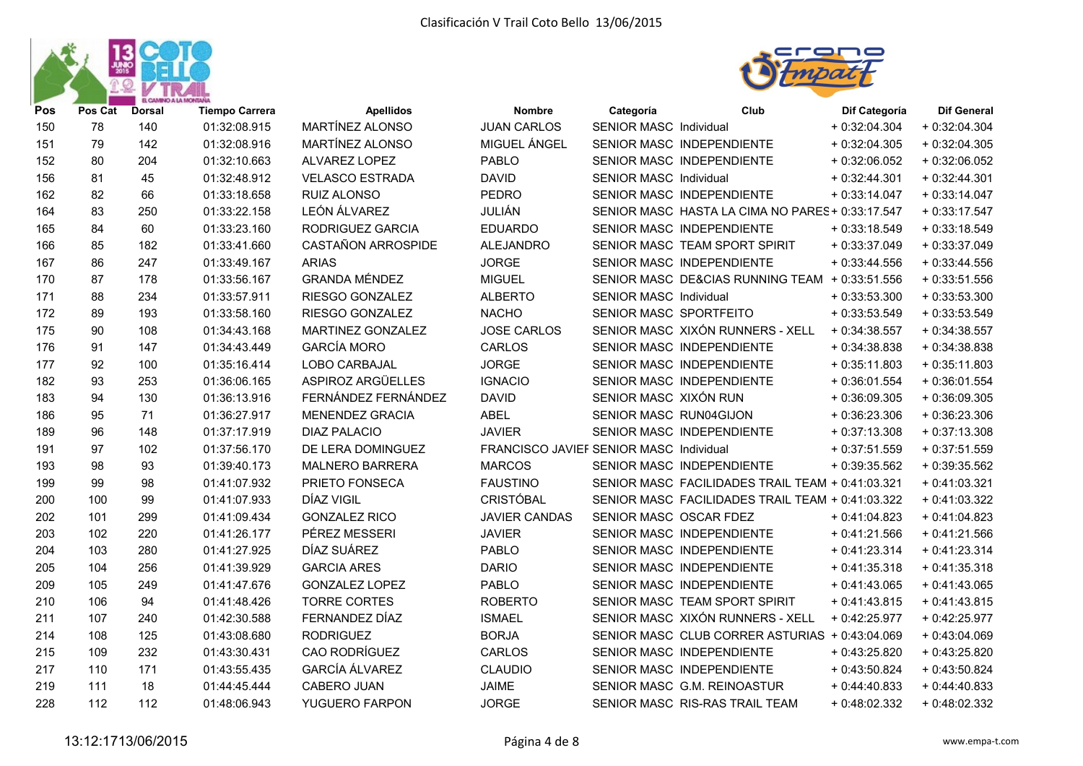



| Pos | Pos Cat | <b>Dorsal</b> | <b>Tiempo Carrera</b> | <b>Apellidos</b>       | <b>Nombre</b>                           | Categoría                     | Club                                             | Dif Categoría  | <b>Dif General</b> |
|-----|---------|---------------|-----------------------|------------------------|-----------------------------------------|-------------------------------|--------------------------------------------------|----------------|--------------------|
| 150 | 78      | 140           | 01:32:08.915          | MARTÍNEZ ALONSO        | <b>JUAN CARLOS</b>                      | SENIOR MASC Individual        |                                                  | $+0.32:04.304$ | $+0.32:04.304$     |
| 151 | 79      | 142           | 01:32:08.916          | MARTÍNEZ ALONSO        | MIGUEL ÁNGEL                            |                               | SENIOR MASC INDEPENDIENTE                        | $+0.32:04.305$ | $+0.32:04.305$     |
| 152 | 80      | 204           | 01:32:10.663          | ALVAREZ LOPEZ          | <b>PABLO</b>                            |                               | SENIOR MASC INDEPENDIENTE                        | $+0.32:06.052$ | $+0.32:06.052$     |
| 156 | 81      | 45            | 01:32:48.912          | <b>VELASCO ESTRADA</b> | <b>DAVID</b>                            | <b>SENIOR MASC Individual</b> |                                                  | $+0.32:44.301$ | $+0.32:44.301$     |
| 162 | 82      | 66            | 01:33:18.658          | RUIZ ALONSO            | <b>PEDRO</b>                            |                               | SENIOR MASC INDEPENDIENTE                        | $+0:33:14.047$ | $+0:33:14.047$     |
| 164 | 83      | 250           | 01:33:22.158          | LEÓN ÁLVAREZ           | JULIÁN                                  |                               | SENIOR MASC HASTA LA CIMA NO PARES + 0:33:17.547 |                | $+0:33:17.547$     |
| 165 | 84      | 60            | 01:33:23.160          | RODRIGUEZ GARCIA       | <b>EDUARDO</b>                          |                               | SENIOR MASC INDEPENDIENTE                        | $+0.33:18.549$ | $+0:33:18.549$     |
| 166 | 85      | 182           | 01:33:41.660          | CASTAÑON ARROSPIDE     | <b>ALEJANDRO</b>                        |                               | SENIOR MASC TEAM SPORT SPIRIT                    | $+0.33.37.049$ | $+0:33:37.049$     |
| 167 | 86      | 247           | 01:33:49.167          | <b>ARIAS</b>           | <b>JORGE</b>                            |                               | SENIOR MASC INDEPENDIENTE                        | $+0.33:44.556$ | $+0.33:44.556$     |
| 170 | 87      | 178           | 01:33:56.167          | <b>GRANDA MÉNDEZ</b>   | <b>MIGUEL</b>                           |                               | SENIOR MASC DE&CIAS RUNNING TEAM + 0:33:51.556   |                | $+0.33:51.556$     |
| 171 | 88      | 234           | 01:33:57.911          | RIESGO GONZALEZ        | <b>ALBERTO</b>                          | <b>SENIOR MASC Individual</b> |                                                  | $+0.33.53.300$ | $+0:33:53.300$     |
| 172 | 89      | 193           | 01:33:58.160          | RIESGO GONZALEZ        | <b>NACHO</b>                            | SENIOR MASC SPORTFEITO        |                                                  | $+0.33.53.549$ | $+0.33:53.549$     |
| 175 | 90      | 108           | 01:34:43.168          | MARTINEZ GONZALEZ      | <b>JOSE CARLOS</b>                      |                               | SENIOR MASC XIXÓN RUNNERS - XELL                 | $+0:34:38.557$ | $+0:34:38.557$     |
| 176 | 91      | 147           | 01:34:43.449          | <b>GARCÍA MORO</b>     | <b>CARLOS</b>                           |                               | SENIOR MASC INDEPENDIENTE                        | $+0:34:38.838$ | $+0:34:38.838$     |
| 177 | 92      | 100           | 01:35:16.414          | LOBO CARBAJAL          | <b>JORGE</b>                            |                               | SENIOR MASC INDEPENDIENTE                        | $+0.35:11.803$ | $+0:35:11.803$     |
| 182 | 93      | 253           | 01:36:06.165          | ASPIROZ ARGÜELLES      | <b>IGNACIO</b>                          |                               | SENIOR MASC INDEPENDIENTE                        | $+0.36:01.554$ | $+0:36:01.554$     |
| 183 | 94      | 130           | 01:36:13.916          | FERNÁNDEZ FERNÁNDEZ    | <b>DAVID</b>                            | SENIOR MASC XIXÓN RUN         |                                                  | $+0.36:09.305$ | $+0.36:09.305$     |
| 186 | 95      | 71            | 01:36:27.917          | <b>MENENDEZ GRACIA</b> | <b>ABEL</b>                             | SENIOR MASC RUN04GIJON        |                                                  | $+0.36:23.306$ | $+0.36:23.306$     |
| 189 | 96      | 148           | 01:37:17.919          | <b>DIAZ PALACIO</b>    | <b>JAVIER</b>                           |                               | SENIOR MASC INDEPENDIENTE                        | $+0.37:13.308$ | $+0.37:13.308$     |
| 191 | 97      | 102           | 01:37:56.170          | DE LERA DOMINGUEZ      | FRANCISCO JAVIEF SENIOR MASC Individual |                               |                                                  | $+0.37:51.559$ | $+0:37:51.559$     |
| 193 | 98      | 93            | 01:39:40.173          | <b>MALNERO BARRERA</b> | <b>MARCOS</b>                           |                               | SENIOR MASC INDEPENDIENTE                        | $+0.39.35.562$ | $+0.39.35.562$     |
| 199 | 99      | 98            | 01:41:07.932          | PRIETO FONSECA         | <b>FAUSTINO</b>                         |                               | SENIOR MASC FACILIDADES TRAIL TEAM + 0:41:03.321 |                | $+0:41:03.321$     |
| 200 | 100     | 99            | 01:41:07.933          | DÍAZ VIGIL             | <b>CRISTÓBAL</b>                        |                               | SENIOR MASC FACILIDADES TRAIL TEAM + 0:41:03.322 |                | $+0:41:03.322$     |
| 202 | 101     | 299           | 01:41:09.434          | <b>GONZALEZ RICO</b>   | <b>JAVIER CANDAS</b>                    | SENIOR MASC OSCAR FDEZ        |                                                  | $+0:41:04.823$ | $+0:41:04.823$     |
| 203 | 102     | 220           | 01:41:26.177          | PÉREZ MESSERI          | <b>JAVIER</b>                           |                               | SENIOR MASC INDEPENDIENTE                        | $+0.41:21.566$ | $+0:41:21.566$     |
| 204 | 103     | 280           | 01:41:27.925          | DÍAZ SUÁREZ            | <b>PABLO</b>                            |                               | SENIOR MASC INDEPENDIENTE                        | $+0:41:23.314$ | $+0:41:23.314$     |
| 205 | 104     | 256           | 01:41:39.929          | <b>GARCIA ARES</b>     | <b>DARIO</b>                            |                               | SENIOR MASC INDEPENDIENTE                        | $+0.41:35.318$ | $+0:41:35.318$     |
| 209 | 105     | 249           | 01:41:47.676          | <b>GONZALEZ LOPEZ</b>  | PABLO                                   |                               | SENIOR MASC INDEPENDIENTE                        | $+0:41:43.065$ | $+0.41:43.065$     |
| 210 | 106     | 94            | 01:41:48.426          | <b>TORRE CORTES</b>    | <b>ROBERTO</b>                          |                               | SENIOR MASC TEAM SPORT SPIRIT                    | $+0:41:43.815$ | $+0:41:43.815$     |
| 211 | 107     | 240           | 01:42:30.588          | FERNANDEZ DÍAZ         | <b>ISMAEL</b>                           |                               | SENIOR MASC XIXÓN RUNNERS - XELL                 | $+0.42:25.977$ | $+0.42:25.977$     |
| 214 | 108     | 125           | 01:43:08.680          | <b>RODRIGUEZ</b>       | <b>BORJA</b>                            |                               | SENIOR MASC CLUB CORRER ASTURIAS + 0:43:04.069   |                | $+0.43:04.069$     |
| 215 | 109     | 232           | 01:43:30.431          | CAO RODRÍGUEZ          | <b>CARLOS</b>                           |                               | SENIOR MASC INDEPENDIENTE                        | $+0.43:25.820$ | $+0.43:25.820$     |
| 217 | 110     | 171           | 01:43:55.435          | <b>GARCÍA ÁLVAREZ</b>  | <b>CLAUDIO</b>                          |                               | SENIOR MASC INDEPENDIENTE                        | $+0.43:50.824$ | $+0.43:50.824$     |
| 219 | 111     | 18            | 01:44:45.444          | <b>CABERO JUAN</b>     | <b>JAIME</b>                            |                               | SENIOR MASC G.M. REINOASTUR                      | $+0:44:40.833$ | $+0:44:40.833$     |
| 228 | 112     | 112           | 01:48:06.943          | YUGUERO FARPON         | <b>JORGE</b>                            |                               | SENIOR MASC RIS-RAS TRAIL TEAM                   | $+0.48:02.332$ | $+0.48:02.332$     |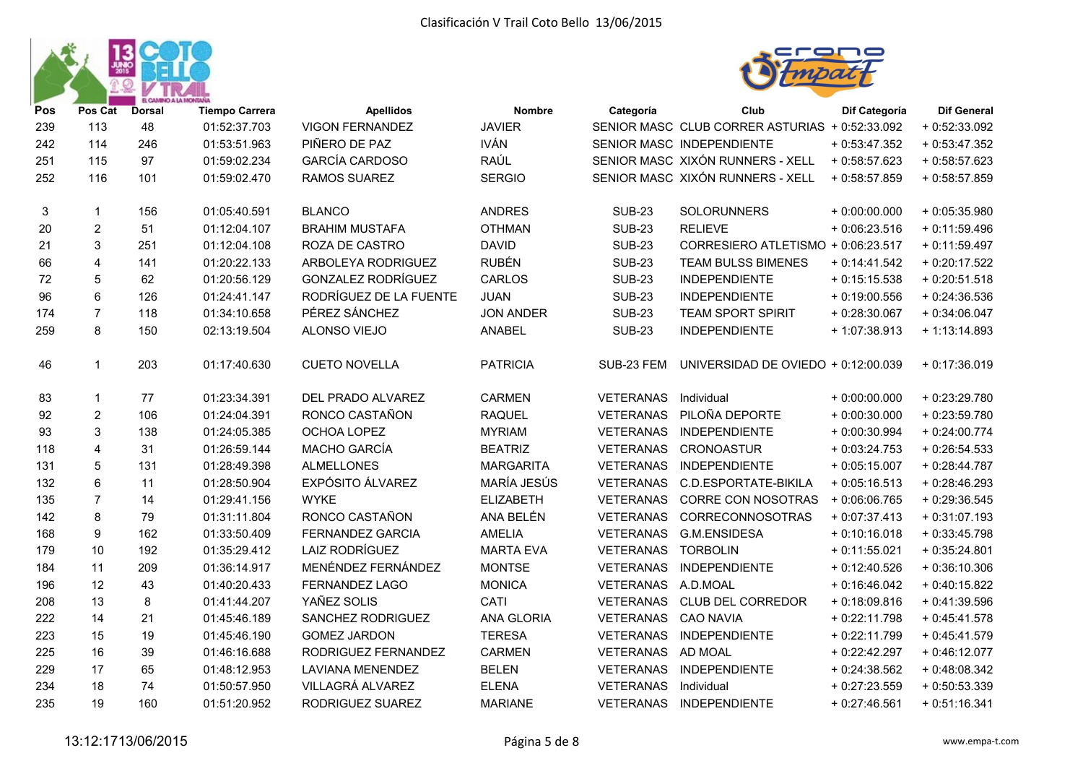



| Pos | Pos Cat                 | <b>Dorsal</b> | <b>Tiempo Carrera</b> | <b>Apellidos</b>          | <b>Nombre</b>     | Categoría        | Club                                           | Dif Categoría  | <b>Dif General</b> |
|-----|-------------------------|---------------|-----------------------|---------------------------|-------------------|------------------|------------------------------------------------|----------------|--------------------|
| 239 | 113                     | 48            | 01:52:37.703          | <b>VIGON FERNANDEZ</b>    | <b>JAVIER</b>     |                  | SENIOR MASC CLUB CORRER ASTURIAS + 0:52:33.092 |                | $+0.52:33.092$     |
| 242 | 114                     | 246           | 01:53:51.963          | PIÑERO DE PAZ             | <b>IVÁN</b>       |                  | SENIOR MASC INDEPENDIENTE                      | $+0.53:47.352$ | $+0:53:47.352$     |
| 251 | 115                     | 97            | 01:59:02.234          | <b>GARCÍA CARDOSO</b>     | RAÚL              |                  | SENIOR MASC XIXÓN RUNNERS - XELL               | $+0.58:57.623$ | $+0.58:57.623$     |
| 252 | 116                     | 101           | 01:59:02.470          | <b>RAMOS SUAREZ</b>       | <b>SERGIO</b>     |                  | SENIOR MASC XIXÓN RUNNERS - XELL               | $+0.58.57.859$ | $+0.58.57.859$     |
| 3   | $\mathbf 1$             | 156           | 01:05:40.591          | <b>BLANCO</b>             | <b>ANDRES</b>     | <b>SUB-23</b>    | SOLORUNNERS                                    | $+0.00:00.000$ | $+0.05:35.980$     |
| 20  | $\overline{2}$          | 51            | 01:12:04.107          | <b>BRAHIM MUSTAFA</b>     | <b>OTHMAN</b>     | <b>SUB-23</b>    | <b>RELIEVE</b>                                 | $+0.06:23.516$ | $+0:11:59.496$     |
| 21  | 3                       | 251           | 01:12:04.108          | ROZA DE CASTRO            | <b>DAVID</b>      | <b>SUB-23</b>    | CORRESIERO ATLETISMO + 0:06:23.517             |                | $+0:11:59.497$     |
| 66  | $\overline{\mathbf{4}}$ | 141           | 01:20:22.133          | ARBOLEYA RODRIGUEZ        | <b>RUBÉN</b>      | <b>SUB-23</b>    | <b>TEAM BULSS BIMENES</b>                      | $+0:14:41.542$ | $+0.20:17.522$     |
| 72  | 5                       | 62            | 01:20:56.129          | <b>GONZALEZ RODRÍGUEZ</b> | CARLOS            | <b>SUB-23</b>    | <b>INDEPENDIENTE</b>                           | $+0.15:15.538$ | $+0.20:51.518$     |
| 96  | $\,6\,$                 | 126           | 01:24:41.147          | RODRÍGUEZ DE LA FUENTE    | <b>JUAN</b>       | <b>SUB-23</b>    | <b>INDEPENDIENTE</b>                           | $+0.19:00.556$ | $+0.24:36.536$     |
| 174 | $\overline{7}$          | 118           | 01:34:10.658          | PÉREZ SÁNCHEZ             | <b>JON ANDER</b>  | <b>SUB-23</b>    | <b>TEAM SPORT SPIRIT</b>                       | $+0.28:30.067$ | $+0:34:06.047$     |
| 259 | 8                       | 150           | 02:13:19.504          | ALONSO VIEJO              | <b>ANABEL</b>     | <b>SUB-23</b>    | <b>INDEPENDIENTE</b>                           | + 1:07:38.913  | $+1:13:14.893$     |
| 46  | $\mathbf{1}$            | 203           | 01:17:40.630          | <b>CUETO NOVELLA</b>      | <b>PATRICIA</b>   | SUB-23 FEM       | UNIVERSIDAD DE OVIEDO + 0:12:00.039            |                | $+0:17:36.019$     |
| 83  | $\mathbf 1$             | 77            | 01:23:34.391          | DEL PRADO ALVAREZ         | <b>CARMEN</b>     | <b>VETERANAS</b> | Individual                                     | $+0.00:00.000$ | + 0:23:29.780      |
| 92  | $\boldsymbol{2}$        | 106           | 01:24:04.391          | RONCO CASTAÑON            | <b>RAQUEL</b>     | VETERANAS        | PILOÑA DEPORTE                                 | $+0.00:30.000$ | $+0.23:59.780$     |
| 93  | $\mathsf 3$             | 138           | 01:24:05.385          | OCHOA LOPEZ               | <b>MYRIAM</b>     | <b>VETERANAS</b> | <b>INDEPENDIENTE</b>                           | $+0.00:30.994$ | $+0.24:00.774$     |
| 118 | $\overline{4}$          | 31            | 01:26:59.144          | MACHO GARCÍA              | <b>BEATRIZ</b>    | <b>VETERANAS</b> | <b>CRONOASTUR</b>                              | $+0.03:24.753$ | $+0.26:54.533$     |
| 131 | 5                       | 131           | 01:28:49.398          | <b>ALMELLONES</b>         | <b>MARGARITA</b>  | <b>VETERANAS</b> | <b>INDEPENDIENTE</b>                           | $+0.05:15.007$ | $+0.28:44.787$     |
| 132 | 6                       | 11            | 01:28:50.904          | <b>EXPÓSITO ÁLVAREZ</b>   | MARÍA JESÚS       | VETERANAS        | C.D.ESPORTATE-BIKILA                           | $+0.05:16.513$ | $+0.28:46.293$     |
| 135 | $\overline{7}$          | 14            | 01:29:41.156          | <b>WYKE</b>               | <b>ELIZABETH</b>  | <b>VETERANAS</b> | <b>CORRE CON NOSOTRAS</b>                      | $+0.06:06.765$ | $+0.29:36.545$     |
| 142 | 8                       | 79            | 01:31:11.804          | RONCO CASTAÑON            | ANA BELÉN         | <b>VETERANAS</b> | CORRECONNOSOTRAS                               | $+0.07:37.413$ | $+0:31:07.193$     |
| 168 | 9                       | 162           | 01:33:50.409          | <b>FERNANDEZ GARCIA</b>   | <b>AMELIA</b>     | <b>VETERANAS</b> | G.M.ENSIDESA                                   | $+0:10:16.018$ | $+0.33:45.798$     |
| 179 | 10                      | 192           | 01:35:29.412          | LAIZ RODRÍGUEZ            | <b>MARTA EVA</b>  | <b>VETERANAS</b> | <b>TORBOLIN</b>                                | $+0:11:55.021$ | $+0.35:24.801$     |
| 184 | 11                      | 209           | 01:36:14.917          | MENÉNDEZ FERNÁNDEZ        | <b>MONTSE</b>     | <b>VETERANAS</b> | <b>INDEPENDIENTE</b>                           | $+0.12:40.526$ | $+0.36:10.306$     |
| 196 | 12                      | 43            | 01:40:20.433          | <b>FERNANDEZ LAGO</b>     | <b>MONICA</b>     | VETERANAS        | A.D.MOAL                                       | $+0.16:46.042$ | $+0.40:15.822$     |
| 208 | 13                      | 8             | 01:41:44.207          | YAÑEZ SOLIS               | CATI              | <b>VETERANAS</b> | CLUB DEL CORREDOR                              | $+0.18.09.816$ | $+0:41:39.596$     |
| 222 | 14                      | 21            | 01:45:46.189          | SANCHEZ RODRIGUEZ         | <b>ANA GLORIA</b> | <b>VETERANAS</b> | <b>CAO NAVIA</b>                               | $+0.22:11.798$ | $+0:45:41.578$     |
| 223 | 15                      | 19            | 01:45:46.190          | <b>GOMEZ JARDON</b>       | <b>TERESA</b>     | <b>VETERANAS</b> | <b>INDEPENDIENTE</b>                           | $+0.22:11.799$ | $+0.45:41.579$     |
| 225 | 16                      | 39            | 01:46:16.688          | RODRIGUEZ FERNANDEZ       | <b>CARMEN</b>     | VETERANAS        | <b>AD MOAL</b>                                 | $+0.22:42.297$ | $+0.46:12.077$     |
| 229 | 17                      | 65            | 01:48:12.953          | LAVIANA MENENDEZ          | <b>BELEN</b>      | <b>VETERANAS</b> | INDEPENDIENTE                                  | $+0.24.38.562$ | $+0.48.08.342$     |
| 234 | 18                      | 74            | 01:50:57.950          | VILLAGRÁ ALVAREZ          | <b>ELENA</b>      | <b>VETERANAS</b> | Individual                                     | $+0.27:23.559$ | $+0.50.53.339$     |
| 235 | 19                      | 160           | 01:51:20.952          | RODRIGUEZ SUAREZ          | <b>MARIANE</b>    | <b>VETERANAS</b> | <b>INDEPENDIENTE</b>                           | $+0.27:46.561$ | $+0:51:16.341$     |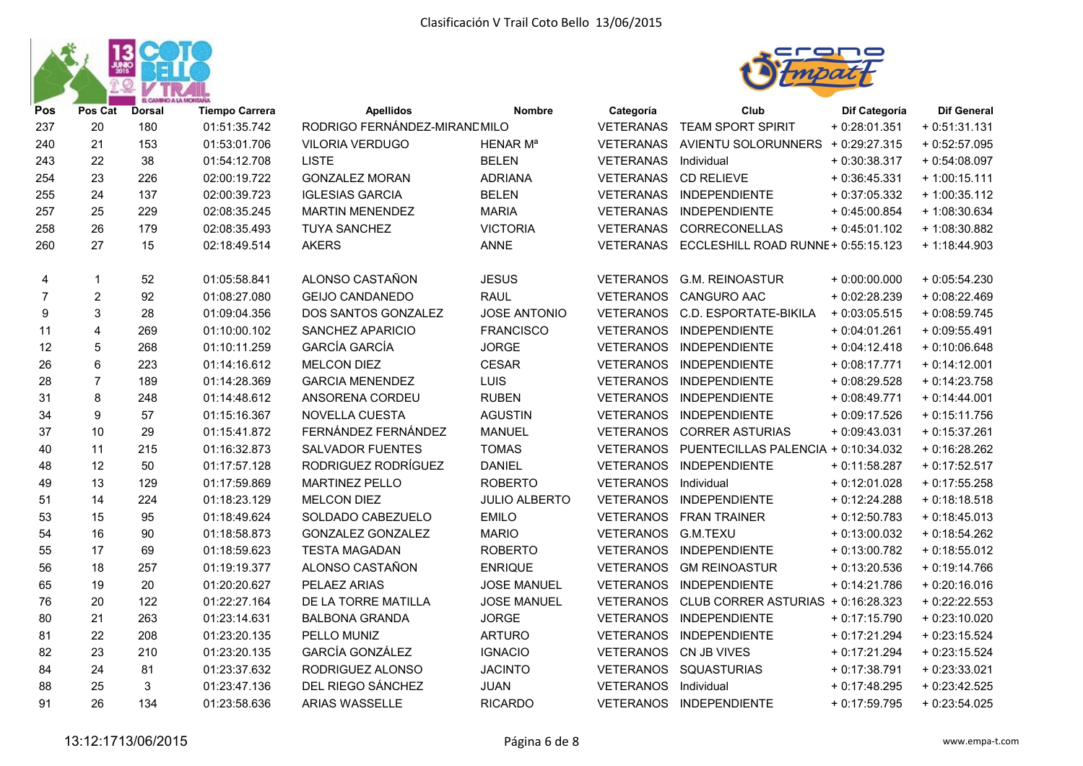



| Pos            | Pos Cat          | <b>Dorsal</b> | <b>Tiempo Carrera</b> | <b>Apellidos</b>              | Nombre               | Categoría        | Club                                | Dif Categoría  | <b>Dif General</b> |
|----------------|------------------|---------------|-----------------------|-------------------------------|----------------------|------------------|-------------------------------------|----------------|--------------------|
| 237            | 20               | 180           | 01:51:35.742          | RODRIGO FERNÁNDEZ-MIRANC MILO |                      | VETERANAS        | TEAM SPORT SPIRIT                   | $+0.28:01.351$ | $+0:51:31.131$     |
| 240            | 21               | 153           | 01:53:01.706          | <b>VILORIA VERDUGO</b>        | HENAR Mª             | VETERANAS        | AVIENTU SOLORUNNERS + 0:29:27.315   |                | $+0.52:57.095$     |
| 243            | 22               | 38            | 01:54:12.708          | <b>LISTE</b>                  | <b>BELEN</b>         | <b>VETERANAS</b> | Individual                          | $+0.30.38.317$ | $+0.54:08.097$     |
| 254            | 23               | 226           | 02:00:19.722          | <b>GONZALEZ MORAN</b>         | <b>ADRIANA</b>       | <b>VETERANAS</b> | <b>CD RELIEVE</b>                   | $+0:36:45.331$ | $+1:00:15.111$     |
| 255            | 24               | 137           | 02:00:39.723          | <b>IGLESIAS GARCIA</b>        | <b>BELEN</b>         | VETERANAS        | <b>INDEPENDIENTE</b>                | $+0.37:05.332$ | $+1:00:35.112$     |
| 257            | 25               | 229           | 02:08:35.245          | <b>MARTIN MENENDEZ</b>        | <b>MARIA</b>         | <b>VETERANAS</b> | <b>INDEPENDIENTE</b>                | $+0.45:00.854$ | + 1:08:30.634      |
| 258            | 26               | 179           | 02:08:35.493          | <b>TUYA SANCHEZ</b>           | <b>VICTORIA</b>      | <b>VETERANAS</b> | CORRECONELLAS                       | $+0.45.01.102$ | + 1:08:30.882      |
| 260            | 27               | 15            | 02:18:49.514          | <b>AKERS</b>                  | <b>ANNE</b>          | VETERANAS        | ECCLESHILL ROAD RUNNE + 0:55:15.123 |                | $+1:18:44.903$     |
| 4              | 1                | 52            | 01:05:58.841          | ALONSO CASTAÑON               | <b>JESUS</b>         | <b>VETERANOS</b> | <b>G.M. REINOASTUR</b>              | $+0:00:00.000$ | $+0.05:54.230$     |
| $\overline{7}$ | $\boldsymbol{2}$ | 92            | 01:08:27.080          | <b>GEIJO CANDANEDO</b>        | <b>RAUL</b>          | <b>VETERANOS</b> | <b>CANGURO AAC</b>                  | $+0.02:28.239$ | $+0.08:22.469$     |
| 9              | 3                | 28            | 01:09:04.356          | DOS SANTOS GONZALEZ           | <b>JOSE ANTONIO</b>  | <b>VETERANOS</b> | C.D. ESPORTATE-BIKILA               | $+0.03:05.515$ | $+0.08:59.745$     |
| 11             | 4                | 269           | 01:10:00.102          | SANCHEZ APARICIO              | <b>FRANCISCO</b>     | <b>VETERANOS</b> | INDEPENDIENTE                       | $+0:04:01.261$ | $+0.09:55.491$     |
| 12             | 5                | 268           | 01:10:11.259          | <b>GARCÍA GARCÍA</b>          | <b>JORGE</b>         | <b>VETERANOS</b> | INDEPENDIENTE                       | $+0.04:12.418$ | $+0:10:06.648$     |
| 26             | $\,6$            | 223           | 01:14:16.612          | <b>MELCON DIEZ</b>            | <b>CESAR</b>         | <b>VETERANOS</b> | INDEPENDIENTE                       | $+0.08:17.771$ | $+0:14:12.001$     |
| 28             | $\overline{7}$   | 189           | 01:14:28.369          | <b>GARCIA MENENDEZ</b>        | LUIS                 | <b>VETERANOS</b> | <b>INDEPENDIENTE</b>                | $+0.08:29.528$ | $+0:14:23.758$     |
| 31             | 8                | 248           | 01:14:48.612          | ANSORENA CORDEU               | <b>RUBEN</b>         | <b>VETERANOS</b> | <b>INDEPENDIENTE</b>                | $+0:08:49.771$ | $+0:14:44.001$     |
| 34             | 9                | 57            | 01:15:16.367          | NOVELLA CUESTA                | <b>AGUSTIN</b>       | <b>VETERANOS</b> | <b>INDEPENDIENTE</b>                | $+0.09:17.526$ | $+0:15:11.756$     |
| 37             | 10               | 29            | 01:15:41.872          | FERNÁNDEZ FERNÁNDEZ           | <b>MANUEL</b>        | <b>VETERANOS</b> | <b>CORRER ASTURIAS</b>              | $+0.09:43.031$ | $+0:15:37.261$     |
| 40             | 11               | 215           | 01:16:32.873          | <b>SALVADOR FUENTES</b>       | <b>TOMAS</b>         | <b>VETERANOS</b> | PUENTECILLAS PALENCIA + 0:10:34.032 |                | $+0:16:28.262$     |
| 48             | 12               | 50            | 01:17:57.128          | RODRIGUEZ RODRÍGUEZ           | <b>DANIEL</b>        | <b>VETERANOS</b> | <b>INDEPENDIENTE</b>                | $+0:11:58.287$ | $+0:17:52.517$     |
| 49             | 13               | 129           | 01:17:59.869          | <b>MARTINEZ PELLO</b>         | <b>ROBERTO</b>       | <b>VETERANOS</b> | Individual                          | $+0:12:01.028$ | $+0:17:55.258$     |
| 51             | 14               | 224           | 01:18:23.129          | <b>MELCON DIEZ</b>            | <b>JULIO ALBERTO</b> | <b>VETERANOS</b> | <b>INDEPENDIENTE</b>                | $+0.12:24.288$ | $+0:18:18.518$     |
| 53             | 15               | 95            | 01:18:49.624          | SOLDADO CABEZUELO             | <b>EMILO</b>         | <b>VETERANOS</b> | <b>FRAN TRAINER</b>                 | $+0.12:50.783$ | $+0:18:45.013$     |
| 54             | 16               | 90            | 01:18:58.873          | <b>GONZALEZ GONZALEZ</b>      | <b>MARIO</b>         | <b>VETERANOS</b> | G.M.TEXU                            | $+0.13.00.032$ | $+0:18:54.262$     |
| 55             | 17               | 69            | 01:18:59.623          | <b>TESTA MAGADAN</b>          | <b>ROBERTO</b>       | <b>VETERANOS</b> | INDEPENDIENTE                       | $+0.13.00.782$ | $+0:18:55.012$     |
| 56             | 18               | 257           | 01:19:19.377          | ALONSO CASTAÑON               | <b>ENRIQUE</b>       | <b>VETERANOS</b> | <b>GM REINOASTUR</b>                | $+0:13:20.536$ | $+0:19:14.766$     |
| 65             | 19               | 20            | 01:20:20.627          | PELAEZ ARIAS                  | <b>JOSE MANUEL</b>   | <b>VETERANOS</b> | <b>INDEPENDIENTE</b>                | $+0:14:21.786$ | $+0.20:16.016$     |
| 76             | 20               | 122           | 01:22:27.164          | DE LA TORRE MATILLA           | <b>JOSE MANUEL</b>   | <b>VETERANOS</b> | CLUB CORRER ASTURIAS + 0:16:28.323  |                | $+0.22:22.553$     |
| 80             | 21               | 263           | 01:23:14.631          | <b>BALBONA GRANDA</b>         | <b>JORGE</b>         | <b>VETERANOS</b> | <b>INDEPENDIENTE</b>                | $+0:17:15.790$ | $+0.23:10.020$     |
| 81             | 22               | 208           | 01:23:20.135          | PELLO MUNIZ                   | <b>ARTURO</b>        | <b>VETERANOS</b> | <b>INDEPENDIENTE</b>                | $+0:17:21.294$ | $+0.23:15.524$     |
| 82             | 23               | 210           | 01:23:20.135          | <b>GARCÍA GONZÁLEZ</b>        | <b>IGNACIO</b>       | <b>VETERANOS</b> | CN JB VIVES                         | $+0:17:21.294$ | $+0.23:15.524$     |
| 84             | 24               | 81            | 01:23:37.632          | RODRIGUEZ ALONSO              | <b>JACINTO</b>       | <b>VETERANOS</b> | SQUASTURIAS                         | $+0:17:38.791$ | $+0.23:33.021$     |
| 88             | 25               | 3             | 01:23:47.136          | DEL RIEGO SÁNCHEZ             | JUAN                 | <b>VETERANOS</b> | Individual                          | $+0:17:48.295$ | $+0.23:42.525$     |
| 91             | 26               | 134           | 01:23:58.636          | ARIAS WASSELLE                | <b>RICARDO</b>       |                  | VETERANOS INDEPENDIENTE             | $+0:17:59.795$ | $+0.23:54.025$     |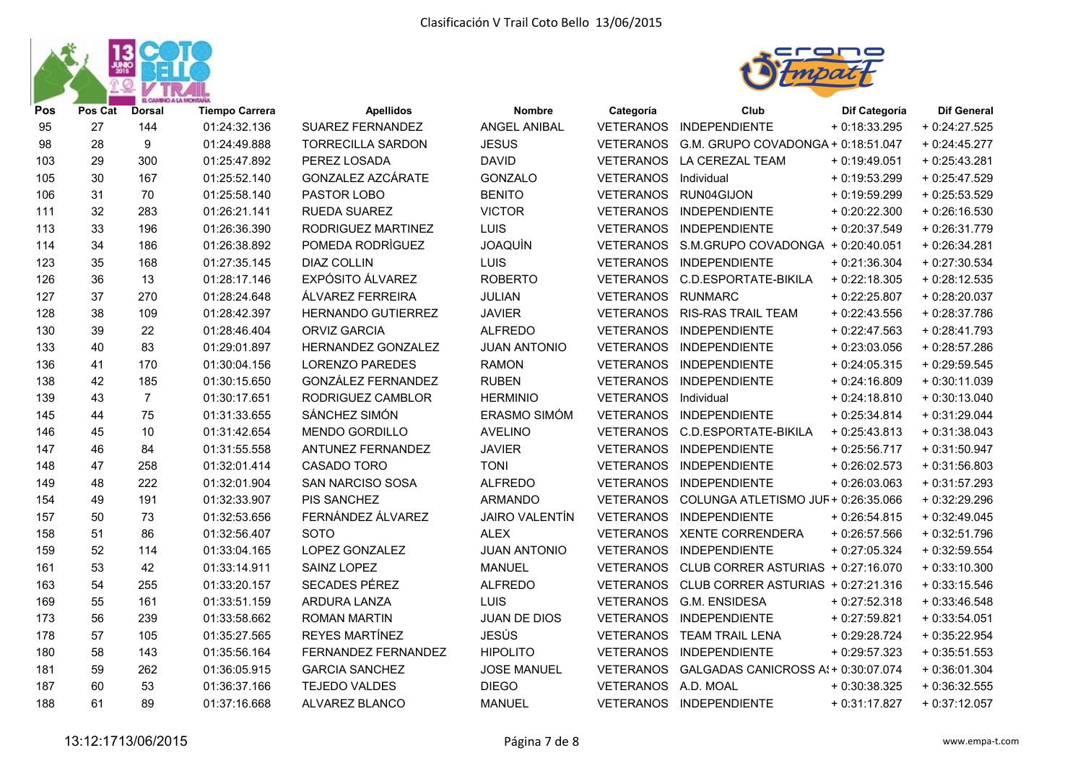



| Pos | Pos Cat | <b>Dorsal</b>  | <b>Tiempo Carrera</b> | <b>Apellidos</b>         | Nombre                | Categoría           | Club                                        | Dif Categoría  | <b>Dif General</b> |
|-----|---------|----------------|-----------------------|--------------------------|-----------------------|---------------------|---------------------------------------------|----------------|--------------------|
| 95  | 27      | 144            | 01:24:32.136          | <b>SUAREZ FERNANDEZ</b>  | <b>ANGEL ANIBAL</b>   | <b>VETERANOS</b>    | INDEPENDIENTE                               | $+0.18.33.295$ | $+0.24:27.525$     |
| 98  | 28      | 9              | 01:24:49.888          | <b>TORRECILLA SARDON</b> | <b>JESUS</b>          | <b>VETERANOS</b>    | G.M. GRUPO COVADONGA + 0:18:51.047          |                | $+0.24:45.277$     |
| 103 | 29      | 300            | 01:25:47.892          | PEREZ LOSADA             | <b>DAVID</b>          | <b>VETERANOS</b>    | LA CEREZAL TEAM                             | $+0.19:49.051$ | $+0.25:43.281$     |
| 105 | 30      | 167            | 01:25:52.140          | GONZALEZ AZCÁRATE        | GONZALO               | <b>VETERANOS</b>    | Individual                                  | $+0.19.53.299$ | $+0.25:47.529$     |
| 106 | 31      | 70             | 01:25:58.140          | PASTOR LOBO              | <b>BENITO</b>         | <b>VETERANOS</b>    | RUN04GIJON                                  | $+0.19.59.299$ | $+0.25:53.529$     |
| 111 | 32      | 283            | 01:26:21.141          | RUEDA SUAREZ             | <b>VICTOR</b>         | <b>VETERANOS</b>    | INDEPENDIENTE                               | $+0.20:22.300$ | $+0.26:16.530$     |
| 113 | 33      | 196            | 01:26:36.390          | RODRIGUEZ MARTINEZ       | LUIS                  | <b>VETERANOS</b>    | <b>INDEPENDIENTE</b>                        | $+0.20.37.549$ | $+0.26:31.779$     |
| 114 | 34      | 186            | 01:26:38.892          | POMEDA RODRÌGUEZ         | <b>JOAQUIN</b>        |                     | VETERANOS S.M.GRUPO COVADONGA + 0:20:40.051 |                | $+0.26:34.281$     |
| 123 | 35      | 168            | 01:27:35.145          | <b>DIAZ COLLIN</b>       | LUIS                  | <b>VETERANOS</b>    | INDEPENDIENTE                               | $+0:21:36.304$ | $+0.27:30.534$     |
| 126 | 36      | 13             | 01:28:17.146          | EXPÓSITO ÁLVAREZ         | <b>ROBERTO</b>        | <b>VETERANOS</b>    | C.D.ESPORTATE-BIKILA                        | $+0.22:18.305$ | $+0.28:12.535$     |
| 127 | 37      | 270            | 01:28:24.648          | ÁLVAREZ FERREIRA         | JULIAN                | <b>VETERANOS</b>    | <b>RUNMARC</b>                              | $+0.22:25.807$ | $+0.28:20.037$     |
| 128 | 38      | 109            | 01:28:42.397          | HERNANDO GUTIERREZ       | <b>JAVIER</b>         | <b>VETERANOS</b>    | <b>RIS-RAS TRAIL TEAM</b>                   | $+0.22:43.556$ | $+0.28:37.786$     |
| 130 | 39      | 22             | 01:28:46.404          | <b>ORVIZ GARCIA</b>      | <b>ALFREDO</b>        | <b>VETERANOS</b>    | <b>INDEPENDIENTE</b>                        | $+0.22:47.563$ | $+0.28:41.793$     |
| 133 | 40      | 83             | 01:29:01.897          | HERNANDEZ GONZALEZ       | <b>JUAN ANTONIO</b>   | <b>VETERANOS</b>    | <b>INDEPENDIENTE</b>                        | $+0.23:03.056$ | $+0.28:57.286$     |
| 136 | 41      | 170            | 01:30:04.156          | <b>LORENZO PAREDES</b>   | <b>RAMON</b>          | <b>VETERANOS</b>    | <b>INDEPENDIENTE</b>                        | $+0.24:05.315$ | $+0.29:59.545$     |
| 138 | 42      | 185            | 01:30:15.650          | GONZÁLEZ FERNANDEZ       | <b>RUBEN</b>          | <b>VETERANOS</b>    | INDEPENDIENTE                               | $+0.24:16.809$ | $+0:30:11.039$     |
| 139 | 43      | $\overline{7}$ | 01:30:17.651          | RODRIGUEZ CAMBLOR        | <b>HERMINIO</b>       | <b>VETERANOS</b>    | Individual                                  | $+0.24:18.810$ | $+0:30:13.040$     |
| 145 | 44      | 75             | 01:31:33.655          | SÁNCHEZ SIMÓN            | ERASMO SIMÓM          | <b>VETERANOS</b>    | <b>INDEPENDIENTE</b>                        | $+0.25.34.814$ | $+0.31:29.044$     |
| 146 | 45      | 10             | 01:31:42.654          | <b>MENDO GORDILLO</b>    | <b>AVELINO</b>        | <b>VETERANOS</b>    | C.D.ESPORTATE-BIKILA                        | $+0.25:43.813$ | $+0:31:38.043$     |
| 147 | 46      | 84             | 01:31:55.558          | ANTUNEZ FERNANDEZ        | <b>JAVIER</b>         | <b>VETERANOS</b>    | <b>INDEPENDIENTE</b>                        | $+0.25:56.717$ | $+0:31:50.947$     |
| 148 | 47      | 258            | 01:32:01.414          | CASADO TORO              | <b>TONI</b>           | <b>VETERANOS</b>    | <b>INDEPENDIENTE</b>                        | $+0.26:02.573$ | $+0:31:56.803$     |
| 149 | 48      | 222            | 01:32:01.904          | SAN NARCISO SOSA         | <b>ALFREDO</b>        | <b>VETERANOS</b>    | <b>INDEPENDIENTE</b>                        | $+0.26:03.063$ | $+0:31:57.293$     |
| 154 | 49      | 191            | 01:32:33.907          | <b>PIS SANCHEZ</b>       | <b>ARMANDO</b>        | <b>VETERANOS</b>    | COLUNGA ATLETISMO JUF+ 0:26:35.066          |                | $+0.32:29.296$     |
| 157 | 50      | 73             | 01:32:53.656          | FERNÁNDEZ ÁLVAREZ        | <b>JAIRO VALENTÍN</b> | <b>VETERANOS</b>    | INDEPENDIENTE                               | $+0.26:54.815$ | $+0.32:49.045$     |
| 158 | 51      | 86             | 01:32:56.407          | <b>SOTO</b>              | <b>ALEX</b>           | VETERANOS           | <b>XENTE CORRENDERA</b>                     | $+0.26:57.566$ | $+0.32:51.796$     |
| 159 | 52      | 114            | 01:33:04.165          | LOPEZ GONZALEZ           | <b>JUAN ANTONIO</b>   | <b>VETERANOS</b>    | <b>INDEPENDIENTE</b>                        | $+0.27:05.324$ | $+0.32:59.554$     |
| 161 | 53      | 42             | 01:33:14.911          | SAINZ LOPEZ              | <b>MANUEL</b>         | <b>VETERANOS</b>    | CLUB CORRER ASTURIAS + 0:27:16.070          |                | $+0:33:10.300$     |
| 163 | 54      | 255            | 01:33:20.157          | SECADES PÉREZ            | <b>ALFREDO</b>        | <b>VETERANOS</b>    | CLUB CORRER ASTURIAS + 0:27:21.316          |                | $+0.33:15.546$     |
| 169 | 55      | 161            | 01:33:51.159          | ARDURA LANZA             | LUIS                  | <b>VETERANOS</b>    | <b>G.M. ENSIDESA</b>                        | $+0.27:52.318$ | $+0.33:46.548$     |
| 173 | 56      | 239            | 01:33:58.662          | <b>ROMAN MARTIN</b>      | JUAN DE DIOS          | <b>VETERANOS</b>    | INDEPENDIENTE                               | $+0.27:59.821$ | $+0:33:54.051$     |
| 178 | 57      | 105            | 01:35:27.565          | REYES MARTÍNEZ           | <b>JESÚS</b>          | <b>VETERANOS</b>    | <b>TEAM TRAIL LENA</b>                      | $+0.29:28.724$ | $+0.35:22.954$     |
| 180 | 58      | 143            | 01:35:56.164          | FERNANDEZ FERNANDEZ      | <b>HIPOLITO</b>       | <b>VETERANOS</b>    | <b>INDEPENDIENTE</b>                        | $+0.29:57.323$ | $+0.35:51.553$     |
| 181 | 59      | 262            | 01:36:05.915          | <b>GARCIA SANCHEZ</b>    | <b>JOSE MANUEL</b>    | <b>VETERANOS</b>    | GALGADAS CANICROSS A: + 0:30:07.074         |                | $+0.36:01.304$     |
| 187 | 60      | 53             | 01:36:37.166          | <b>TEJEDO VALDES</b>     | <b>DIEGO</b>          | VETERANOS A.D. MOAL |                                             | $+0.30.38.325$ | $+0.36:32.555$     |
| 188 | 61      | 89             | 01:37:16.668          | ALVAREZ BLANCO           | <b>MANUEL</b>         | <b>VETERANOS</b>    | INDEPENDIENTE                               | $+0:31:17.827$ | $+0:37:12.057$     |